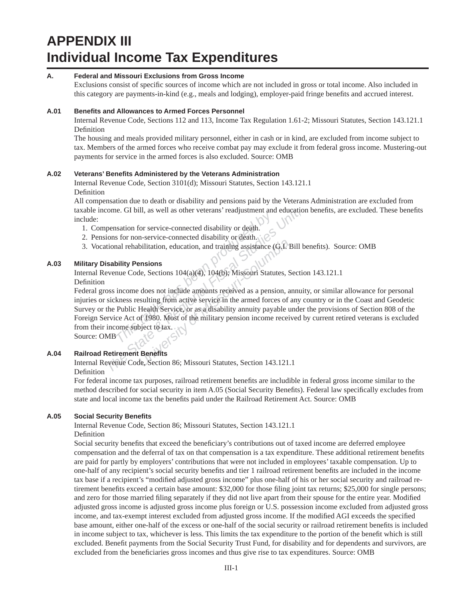# **APPENDIX III Individual Income Tax Expenditures**

#### **A. Federal and Missouri Exclusions from Gross Income**

Exclusions consist of specific sources of income which are not included in gross or total income. Also included in this category are payments-in-kind (e.g., meals and lodging), employer-paid fringe benefits and accrued interest.

#### **A.01 Benefi ts and Allowances to Armed Forces Personnel**

Internal Revenue Code, Sections 112 and 113, Income Tax Regulation 1.61-2; Missouri Statutes, Section 143.121.1 Definition

The housing and meals provided military personnel, either in cash or in kind, are excluded from income subject to tax. Members of the armed forces who receive combat pay may exclude it from federal gross income. Mustering-out payments for service in the armed forces is also excluded. Source: OMB

#### **A.02 Veterans' Benefi ts Administered by the Veterans Administration**

Internal Revenue Code, Section 3101(d); Missouri Statutes, Section 143.121.1 Definition

All compensation due to death or disability and pensions paid by the Veterans Administration are excluded from taxable income. GI bill, as well as other veterans' readjustment and education benefits, are excluded. These benefits include:

- 1. Compensation for service-connected disability or death.
- 2. Pensions for non-service-connected disability or death.
- 3. Vocational rehabilitation, education, and training assistance (G.I. Bill benefits). Source: OMB

#### **A.03 Military Disability Pensions**

Internal Revenue Code, Sections 104(a)(4), 104(b); Missouri Statutes, Section 143.121.1 Definition

**The Algebraic School School School School School School School School School School School School School School School School School School School School School School School School School School School School School Scho** From GI bill, as well as other veterans' readjustment and education<br>
The State Books of the State Connected disability or death.<br>
The State State Books for non-service-connected disability or death.<br>
The State State Connec bilitation, education, and training assistance (G.F.)<br>**Propertions**<br>**Eq.** Sections 104(a)(4), 104(b); Missouri Statutes, S<br>does not include amounts received as a pension, a<br>sulting from active service in the armed forces o Federal gross income does not include amounts received as a pension, annuity, or similar allowance for personal injuries or sickness resulting from active service in the armed forces of any country or in the Coast and Geodetic Survey or the Public Health Service, or as a disability annuity payable under the provisions of Section 808 of the Foreign Service Act of 1980. Most of the military pension income received by current retired veterans is excluded from their income subject to tax.

Source: OMB

# **A.04 Railroad Retirement Benefi ts**

Internal Revenue Code, Section 86; Missouri Statutes, Section 143.121.1 Definition

For federal income tax purposes, railroad retirement benefits are includible in federal gross income similar to the method described for social security in item A.05 (Social Security Benefits). Federal law specifically excludes from state and local income tax the benefits paid under the Railroad Retirement Act. Source: OMB

#### **A.05 Social Security Benefi ts**

Internal Revenue Code, Section 86; Missouri Statutes, Section 143.121.1 Definition

Social security benefits that exceed the beneficiary's contributions out of taxed income are deferred employee compensation and the deferral of tax on that compensation is a tax expenditure. These additional retirement benefits are paid for partly by employers' contributions that were not included in employees' taxable compensation. Up to one-half of any recipient's social security benefits and tier 1 railroad retirement benefits are included in the income tax base if a recipient's "modified adjusted gross income" plus one-half of his or her social security and railroad retirement benefits exceed a certain base amount: \$32,000 for those filing joint tax returns; \$25,000 for single persons; and zero for those married filing separately if they did not live apart from their spouse for the entire year. Modified adjusted gross income is adjusted gross income plus foreign or U.S. possession income excluded from adjusted gross income, and tax-exempt interest excluded from adjusted gross income. If the modified AGI exceeds the specified base amount, either one-half of the excess or one-half of the social security or railroad retirement benefits is included in income subject to tax, whichever is less. This limits the tax expenditure to the portion of the benefi t which is still excluded. Benefit payments from the Social Security Trust Fund, for disability and for dependents and survivors, are excluded from the beneficiaries gross incomes and thus give rise to tax expenditures. Source: OMB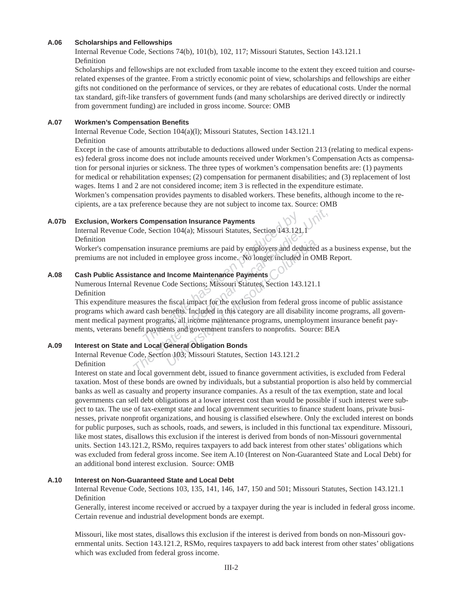#### **A.06 Scholarships and Fellowships**

Internal Revenue Code, Sections 74(b), 101(b), 102, 117; Missouri Sta tutes, Section 143.121.1 Definition

Scholarships and fellow ships are not excluded from taxable income to the extent they exceed tuition and courserelated expenses of the grantee. From a strictly economic point of view, scholarships and fellowships are either gifts not conditioned on the performance of services, or they are rebates of educational costs. Under the normal tax standard, gift-like transfers of government funds (and many scholarships are derived directly or indirectly from government funding) are included in gross income. Source: OMB

#### **A.07 Workmen's Compensation Benefi ts**

Internal Revenue Code, Section 104(a)(l); Missouri Statutes, Section 143.121.1 Definition

Except in the case of amounts attributable to deductions allowed under Section 213 (relating to medical expenses) federal gross income does not include amounts received under Workmen's Compensation Acts as compensation for personal injuries or sickness. The three types of workmen's compensation benefits are:  $(1)$  payments for medical or rehabilitation expenses; (2) compensation for permanent disabilities; and (3) replacement of lost wages. Items 1 and 2 are not considered income; item 3 is reflected in the expenditure estimate.

Workmen's compensation provides payments to disabled workers. These benefits, although income to the recipients, are a tax preference because they are not subject to income tax. Source: OMB

#### **A.07b Exclusion, Workers Compensation Insurance Payments**

Internal Revenue Code, Section 104(a); Missouri Statutes, Section 143.121.1 Definition

 Worker's compensation insurance premiums are paid by employers and deducted as a business expense, but the premiums are not included in employee gross income. No longer included in OMB Report.

#### **A.08 Cash Public Assistance and Income Maintenance Payments**

Numerous Internal Revenue Code Sections; Missouri Statutes, Section 143.121.1 Definition

**Example 18 Example 18 Exercise 19 Exercise 19 Exercise 2.5 Section 104(a); Missouri Statutes, Section 143.121**<br> **The insurance premiums are paid by employers and dec**<br> **The insurance promiums are paid by employers and dec The State American State American** State Section 104(a); Missouri Statutes, Section 143.121,1<br> **The State State State State State State American**<br> **The State State State State State State State State State State State St** nce premiums are paid by employers and deducted<br>employee gross income. No longer included in Ol<br>**Income Maintenance Payments**<br>Code Sections; Missouri Statutes, Section 143.121.<br>Fiscal impact for the exclusion from federal This expenditure measures the fiscal impact for the exclusion from federal gross income of public assistance programs which award cash benefits. Included in this category are all disability income programs, all government medical payment programs, all income maintenance programs, unemployment insurance benefit payments, veterans benefit payments and government transfers to nonprofits. Source: BEA

### **A.09 Interest on State and Local General Obligation Bonds**

Internal Revenue Code, Section 103; Missouri Statutes, Section 143.121.2 Definition

Interest on state and local government debt, issued to finance government activities, is excluded from Federal taxation. Most of these bonds are owned by individuals, but a substantial proportion is also held by commercial banks as well as casualty and property insurance companies. As a result of the tax exemption, state and local governments can sell debt obligations at a lower interest cost than would be possible if such interest were subject to tax. The use of tax-exempt state and local government securities to finance student loans, private businesses, private nonprofit organizations, and housing is classified elsewhere. Only the excluded interest on bonds for public purposes, such as schools, roads, and sewers, is included in this functional tax expenditure. Missouri, like most states, disallows this exclusion if the interest is derived from bonds of non-Missouri governmental units. Section 143.121.2, RSMo, requires taxpayers to add back interest from other states' obligations which was excluded from federal gross income. See item A.10 (Interest on Non-Guaranteed State and Local Debt) for an additional bond interest exclusion. Source: OMB

#### **A.10 Interest on Non-Guaranteed State and Local Debt**

Internal Revenue Code, Sections 103, 135, 141, 146, 147, 150 and 501; Missouri Statutes, Section 143.121.1 Definition

Generally, interest income received or accrued by a taxpayer during the year is included in federal gross income. Certain revenue and industrial development bonds are exempt.

Missouri, like most states, disallows this exclusion if the interest is derived from bonds on non-Missouri governmental units. Section 143.121.2, RSMo, requires taxpayers to add back interest from other states' obligations which was excluded from federal gross income.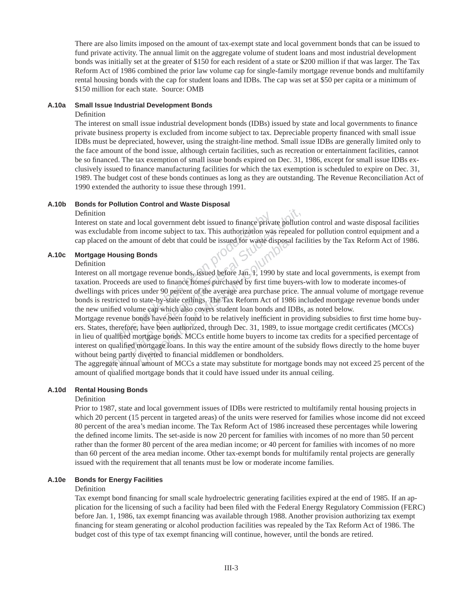There are also limits imposed on the amount of tax-exempt state and local government bonds that can be issued to fund private activity. The annual limit on the aggregate volume of student loans and most industrial development bonds was initially set at the greater of \$150 for each resident of a state or \$200 million if that was larger. The Tax Reform Act of 1986 combined the prior law volume cap for single-family mortgage revenue bonds and multifamily rental housing bonds with the cap for student loans and IDBs. The cap was set at \$50 per capita or a minimum of \$150 million for each state. Source: OMB

#### **A.10a Small Issue Industrial Development Bonds**

#### Definition

The interest on small issue industrial development bonds (IDBs) issued by state and local governments to finance private business property is excluded from income subject to tax. Depreciable property financed with small issue IDBs must be depreciated, however, using the straight-line method. Small issue IDBs are generally limited only to the face amount of the bond issue, although certain facilities, such as recreation or entertain ment facilities, cannot be so financed. The tax exemption of small issue bonds expired on Dec. 31, 1986, except for small issue IDBs exclusively issued to finance manufacturing facilities for which the tax exemption is scheduled to expire on Dec. 31, 1989. The budget cost of these bonds continues as long as they are outstanding. The Revenue Reconciliation Act of 1990 extended the authority to issue these through 1991.

#### **A.10b Bonds for Pollution Control and Waste Disposal**

#### Definition

Interest on state and local government debt issued to finance private pollution control and waste disposal facilities was excludable from income subject to tax. This authorization was repealed for pollution control equipment and a cap placed on the amount of debt that could be issued for waste disposal facilities by the Tax Reform Act of 1986.

### **A.10c Mortgage Housing Bonds**

#### Definition

ate and local government debt issued to finance priva<br> *This authorization was*<br> *This authorization was the amount of debt that could be issued for waste di*<br> **The amount of debt that could be issued for waste divided by** Fig. 2013<br> *The State and local government debt issued to finance private pollutio*<br> *The State form income subject to tax.* This authorization was repealed<br>
on the amount of debt that could be issued for waste disposal fa **Bonds**<br>**Bonds**<br>**Example 18 and the Source State Shows:**<br>**Bonds**<br>**Example 8** are used to finance homes purchased by first time bu<br>under 90 percent of the average area purchase pri<br>state-by-state cellings. The Tax Reform Ac Interest on all mortgage revenue bonds, issued before Jan. 1, 1990 by state and local governments, is exempt from taxation. Proceeds are used to finance homes purchased by first time buyers-with low to moderate incomes-of dwellings with prices under 90 percent of the average area purchase price. The annual volume of mortgage revenue bonds is restricted to state-by-state ceilings. The Tax Reform Act of 1986 included mortgage revenue bonds under the new unified volume cap which also covers student loan bonds and IDBs, as noted below.

Mortgage revenue bonds have been found to be relatively inefficient in providing subsidies to first time home buyers. States, therefore, have been authorized, through Dec. 31, 1989, to issue mortgage credit certificates (MCCs) in lieu of qualified mortgage bonds. MCCs entitle home buyers to income tax credits for a specified percentage of interest on qualified mortgage loans. In this way the entire amount of the subsidy flows directly to the home buyer without being partly diverted to financial middlemen or bondholders.

The aggregate annual amount of MCCs a state may substitute for mortgage bonds may not exceed 25 percent of the amount of qualified mortgage bonds that it could have issued under its annual ceiling.

### **A.10d Rental Housing Bonds**

#### Definition

Prior to 1987, state and local government issues of IDBs were restricted to multifamily rental housing projects in which 20 percent (15 percent in targeted areas) of the units were reserved for families whose income did not exceed 80 percent of the area's median income. The Tax Reform Act of 1986 increased these percentages while lowering the defined income limits. The set-aside is now 20 percent for families with incomes of no more than 50 percent rather than the former 80 percent of the area median income; or 40 percent for families with incomes of no more than 60 percent of the area median income. Other tax-exempt bonds for multifamily rental projects are generally issued with the requirement that all tenants must be low or moderate income families.

### **A.10e Bonds for Energy Facilities**

#### Definition

Tax exempt bond financing for small scale hydroelectric generating facilities expired at the end of 1985. If an application for the licensing of such a facility had been filed with the Federal Energy Regulatory Commission (FERC) before Jan. 1, 1986, tax exempt financing was available through 1988. Another provision authorizing tax exempt financing for steam generating or alcohol production facilities was repealed by the Tax Reform Act of 1986. The budget cost of this type of tax exempt financing will continue, however, until the bonds are retired.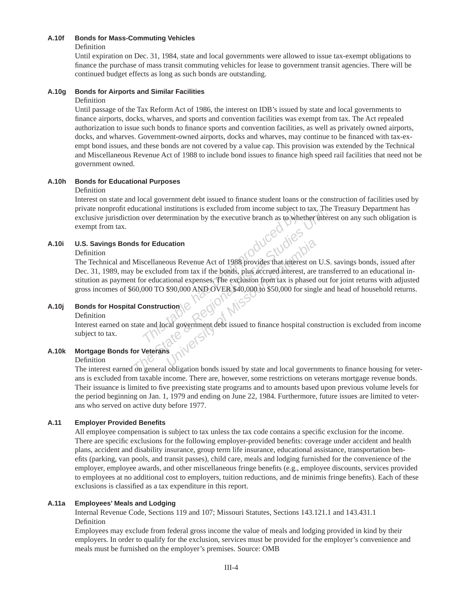#### **A.10f Bonds for Mass-Commuting Vehicles**

Definition

Until expiration on Dec. 31, 1984, state and local governments were allowed to issue tax-exempt obligations to finance the purchase of mass transit commuting vehicles for lease to government transit agencies. There will be continued budget effects as long as such bonds are outstanding.

### **A.10g Bonds for Airports and Similar Facilities**

#### Definition

Until passage of the Tax Reform Act of 1986, the interest on IDB's issued by state and local governments to finance airports, docks, wharves, and sports and convention facilities was exempt from tax. The Act repealed authorization to issue such bonds to finance sports and convention facilities, as well as privately owned airports, docks, and wharves. Government-owned airports, docks and wharves, may continue to be financed with tax-exempt bond issues, and these bonds are not covered by a value cap. This provision was extended by the Technical and Miscellaneous Revenue Act of 1988 to include bond issues to finance high speed rail facilities that need not be government owned.

# **A.10h Bonds for Educational Purposes**

#### Definition

Interest on state and local government debt issued to finance student loans or the construction of facilities used by private nonprofi t educational institutions is excluded from income subject to tax. The Treasury Department has exclusive jurisdiction over determination by the executive branch as to whether interest on any such obligation is exempt from tax.

# **A.10i U.S. Savings Bonds for Education**

#### Definition

France determination by the executive branch as to where the contraction<br> **The discrete seculated from tax** if the bonds, plus accrued interes<br>
or educational expenses. The exclusion from tax is ph<br>
2000 TO \$90,000 AND OVE Figure 2012 The State and Indian State and International Fiscal State and Internation by the executive branch as to whether interest<br> **As for Education**<br>
Miscellaneous Revenue Act of 1988 provides that interest on U.S.<br>
be **COLUMBIA**<br>
UNIVER SERVICES THE EXCUSSION AND TOWARD ON THE SERVICES THE EXCUSSION FOR THE EXCUSSION FOR THE SERVICES SERVICES SERVICES AND COVER \$40,000 to \$50,000 for single<br>
UNIVER SAMPLOVER \$40,000 to \$50,000 for singl The Technical and Miscellaneous Revenue Act of 1988 provides that interest on U.S. savings bonds, issued after Dec. 31, 1989, may be excluded from tax if the bonds, plus accrued interest, are trans ferred to an educational institution as payment for educational expenses. The exclusion from tax is phased out for joint returns with adjusted gross incomes of \$60,000 TO \$90,000 AND OVER \$40,000 to \$50,000 for single and head of household returns.

### **A.10j Bonds for Hospital Construction**

#### Definition

Interest earned on state and local government debt issued to finance hospital construction is excluded from income subject to tax.

### **A.10k Mortgage Bonds for Veterans**

Definition

The interest earned on general obligation bonds issued by state and local governments to finance housing for veterans is excluded from taxable income. There are, however, some restrictions on veterans mortgage revenue bonds. Their issuance is limited to five preexisting state programs and to amounts based upon previous volume levels for the period beginning on Jan. 1, 1979 and ending on June 22, 1984. Furthermore, future issues are limited to veterans who served on active duty before 1977.

### **A.11 Employer Provided Benefi ts**

All employee compensation is subject to tax unless the tax code contains a specific exclusion for the income. There are specific exclusions for the following employer-provided benefits: coverage under accident and health plans, accident and disability insurance, group term life insurance, educational assistance, transportation benefits (parking, van pools, and transit passes), child care, meals and lodging furnished for the convenience of the employer, employee awards, and other miscellaneous fringe benefits (e.g., employee discounts, services provided to employees at no additional cost to employers, tuition reductions, and de minimis fringe benefits). Each of these exclusions is classified as a tax expenditure in this report.

### **A.11a Employees' Meals and Lodging**

Internal Revenue Code, Sections 119 and 107; Missouri Statutes, Sections 143.121.1 and 143.431.1 Definition

Employees may exclude from federal gross income the value of meals and lodging provided in kind by their employers. In order to qualify for the exclusion, services must be provided for the employer's convenience and meals must be furnished on the employer's premises. Source: OMB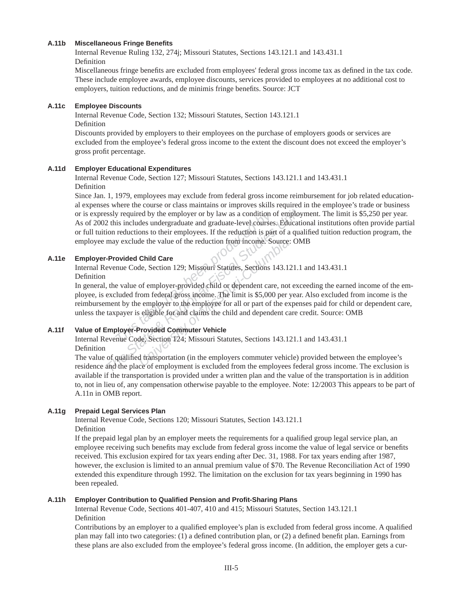#### **A.11b Miscellaneous Fringe Benefi ts**

Internal Revenue Ruling 132, 274j; Missouri Statutes, Sections 143.121.1 and 143.431.1 Definition

Miscellaneous fringe benefits are excluded from employees' federal gross income tax as defined in the tax code. These include employee awards, employee discounts, services provided to employees at no additional cost to employers, tuition reductions, and de minimis fringe benefits. Source: JCT

#### **A.11c Employee Discounts**

Internal Revenue Code, Section 132; Missouri Statutes, Section 143.121.1 Definition

Discounts provided by employers to their employees on the purchase of employers goods or services are excluded from the employee's federal gross income to the extent the discount does not exceed the employer's gross profit percentage.

#### **A.11d Employer Educational Expenditures**

Internal Revenue Code, Section 127; Missouri Statutes, Sections 143.121.1 and 143.431.1 Definition

*The State Bernary is* equired by the employer or by law as a condition of employer 2 this includes undergraduate and graduate-level courses. Education reductions to their employees. If the reduction is part of a qual may Since Jan. 1, 1979, employees may exclude from federal gross income reimbur sement for job related educational expenses where the course or class maintains or improves skills required in the employe e's trade or business or is expressly required by the employer or by law as a condition of employ ment. The limit is \$5,250 per year. As of 2002 this includes undergraduate and graduate-level courses. Educational institutions often provide partial or full tuition reductions to their employees. If the reduction is part of a qualified tuition reduction program, the employee may exclude the value of the reduction from income. Source: OMB

#### **A.11e Employer-Provided Child Care**

Internal Revenue Code, Section 129; Missouri Statutes, Sections 143.121.1 and 143.431.1 Definition

*The includes undergraduate and graduate-level courses* reductions to their employees. If the reduction is party exclude the value of the reduction from income. So **ovided Child Care** and Code, Section 129; Missouri Statut de the value of the reduction from income. Source:<br> **Child Care**<br> *University of employer-provided child or dependent care, not*<br> *University of employer-provided child or dependent care, not*<br> *University of Missouri Stat* In general, the value of employer-provided child or dependent care, not exceeding the earned income of the employee, is excluded from federal gross income. The limit is \$5,000 per year. Also excluded from income is the reimbursement by the employer to the employee for all or part of the expenses paid for child or dependent care, unless the taxpayer is eligible for and claims the child and dependent care credit. Source: OMB

### **A.11f Value of Employer-Provided Commuter Vehicle**

Internal Revenue Code, Section 124; Missouri Statutes, Sections 143.121.1 and 143.431.1 Definition

The value of qualified transportation (in the employers commuter vehicle) provided between the employee's residence and the place of employment is excluded from the employees federal gross income. The exclusion is ava ilable if the transportation is provided under a written plan and the value of the transportation is in addition to, not in lieu of, any compensation otherwise payable to the employee. Note: 12/2003 This appears to be part of A.11n in OMB report.

#### **A.11g Prepaid Legal Services Plan**

Internal Revenue Code, Sections 120; Missouri Statutes, Section 143.121.1 Definition

If the prepaid legal plan by an employer meets the requirements for a qualified group legal service plan, an employee receiving such benefits may exclude from federal gross income the value of legal service or benefits received. This exclusion expired for tax years ending after Dec. 31, 1988. For tax years ending after 1987, however, the exclusion is limited to an annual premium value of \$70. The Revenue Reconciliation Act of 1990 extended this expenditure through 1992. The limitation on the exclusion for tax years beginning in 1990 has been repealed.

#### **A.11h Employer Contribution to Qualifi ed Pension and Profi t-Sharing Plans**

Internal Revenue Code, Sections 401-407, 410 and 415; Missouri Statutes, Section 143.121.1 Definition

Contributions by an employer to a qualified employee's plan is excluded from federal gross income. A qualified plan may fall into two categories: (1) a defined contribution plan, or (2) a defined benefit plan. Earnings from these plans are also excluded from the employee's federal gross income. (In addition, the employer gets a cur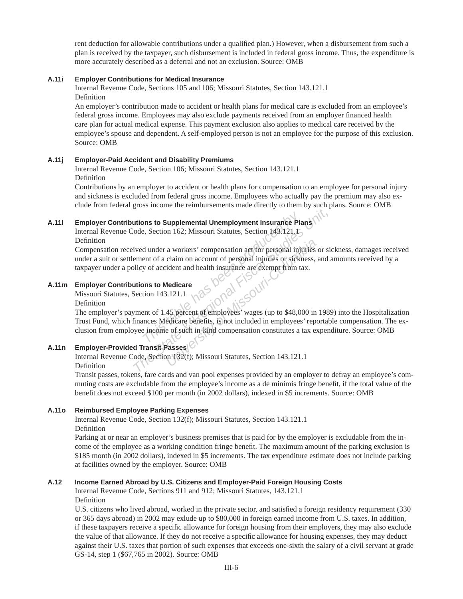rent deduction for allowable contributions under a qualified plan.) However, when a disbursement from such a plan is received by the taxpayer, such disbursement is included in federal gross income. Thus, the expenditure is more accurately described as a deferral and not an exclusion. Source: OMB

#### **A.11i Employer Contributions for Medical Insurance**

Internal Revenue Code, Sections 105 and 106; Missouri Statutes, Section 143.121.1 Definition

An employer's contribution made to accident or health plans for medical care is excluded from an employee's federal gross income. Employees may also exclude payments received from an employer financed health care plan for actual medical expense. This payment ex clusion also applies to medical care received by the employee's spouse and dependent. A self-employed person is not an employee for the purpose of this exclusion. Source: OMB

#### **A.11j Employer-Paid Accident and Disability Premiums**

Internal Revenue Code, Section 106; Missouri Statutes, Section 143.121.1 Definition

Contributions by an employer to accident or health plans for compensation to an employee for personal injury and sickness is excluded from federal gross income. Employees who actually pay the premium may also exclude from federal gross income the reimbursements made directly to them by such plans. Source: OMB

### **A.11l Employer Contributions to Supplemental Unemployment Insurance Plans**

Internal Revenue Code, Section 162; Missouri Statutes, Section 143.121.1 Definition

Compensation received under a workers' compensation act for personal injuries or sickness, damages received under a suit or settlement of a claim on account of personal injuries or sickness, and amounts received by a taxpayer under a policy of accident and health insurance are exempt from tax.

#### **A.11m Employer Contributions to Medicare**

Missouri Statutes, Section 143.121.1

Definition

**The Supplemental Unemployment Insurance Place,**<br> **Place, Section 162; Missouri Statutes, Section 143.121.1**<br> **Conduced a Monumentary Compensation act for personal injuries or sickly of accident and health insurance are ex The State of Supplemental Unemployment Insurance Plans**<br>
ode, Section 162; Missouri Statutes, Section 143.121.1<br>
Fived under a workers' compensation act for personal injuries or siement of a claim on account of personal i a workers' compensation act for personal injuries<br>
claim on account of personal injuries or sickness,<br>
ident and health insurance are exempt from tax.<br> **Medicare**<br>
1.121.1<br> **45** percent of employees' wages (up to \$48,000 i The employer's payment of 1.45 percent of employees' wages (up to \$48,000 in 1989) into the Hospitalization Trust Fund, which finances Medicare benefits, is not included in employees' reportable compensation. The exclusion from employee income of such in-kind compensation constitutes a tax expenditure. Source: OMB

# **A.11n Employer-Provided Transit Passes**

Internal Revenue Code, Section 132(f); Missouri Statutes, Section 143.121.1 Definition

Transit passes, tokens, fare cards and van pool expenses provided by an employer to defray an employee's commuting costs are excludable from the employee's income as a de minimis fringe benefit, if the total value of the benefi t does not exceed \$100 per month (in 2002 dollars), indexed in \$5 increments. Source: OMB

#### **A.11o Reimbursed Employee Parking Expenses**

Internal Revenue Code, Section 132(f); Missouri Statutes, Section 143.121.1 Definition

Parking at or near an employer's business premises that is paid for by the employer is excludable from the income of the employee as a working condition fringe benefit. The maximum amount of the parking exclusion is \$185 month (in 2002 dollars), indexed in \$5 increments. The tax expenditure estimate does not include parking at facilities owned by the employer. Source: OMB

#### **A.12 Income Earned Abroad by U.S. Citizens and Employer-Paid Foreign Housing Costs**

Internal Revenue Code, Sections 911 and 912; Missouri Statutes, 143.121.1 Definition

U.S. citizens who lived abroad, worked in the private sector, and satisfied a foreign residency requirement (330) or 365 days abroad) in 2002 may exlude up to \$80,000 in foreign earned income from U.S. taxes. In addition, if these taxpayers receive a specific allowance for foreign housing from their employers, they may also exclude the value of that allowance. If they do not receive a specific allowance for housing expenses, they may deduct against their U.S. taxes that portion of such expenses that exceeds one-sixth the salary of a civil servant at grade GS-14, step 1 (\$67,765 in 2002). Source: OMB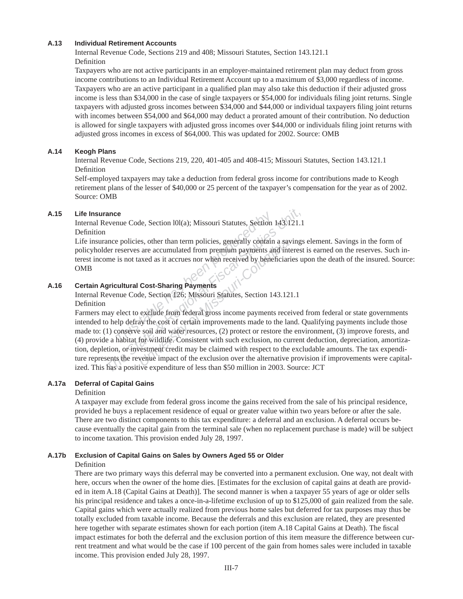#### **A.13 Individual Retirement Accounts**

Internal Revenue Code, Sections 219 and 408; Missouri Statutes, Section 143.121.1 Definition

Taxpayers who are not active participants in an employer-maintained retirement plan may deduct from gross income contributions to an Individual Retirement Account up to a maximum of \$3,000 regardless of income. Taxpayers who are an active participant in a qualified plan may also take this deduction if their adjusted gross income is less than \$34,000 in the case of single taxpayers or \$54,000 for individuals filing joint returns. Single taxpayers with adjusted gross incomes between \$34,000 and \$44,000 or individual taxpayers filing joint returns with incomes between \$54,000 and \$64,000 may deduct a prorated amount of their contribution. No deduction is allowed for single taxpayers with adjusted gross incomes over \$44,000 or individuals filing joint returns with adjusted gross incomes in excess of \$64,000. This was updated for 2002. Source: OMB

#### **A.14 Keogh Plans**

Internal Revenue Code, Sections 219, 220, 401-405 and 408-415; Missouri Statutes, Section 143.121.1 Definition

Self-employed taxpayers may take a deduction from federal gross in come for contributions made to Keogh retirement plans of the lesser of \$40,000 or 25 percent of the taxpayer's compensation for the year as of 2002. Source: OMB

#### **A.15 Life Insurance**

Internal Revenue Code, Section 101(a); Missouri Statutes, Section 143.121.1 Definition

**The Code, Section 101(a); Missouri Statutes, Section**<br> **Exercise, other than term policies, generally contain**<br> **The produced by bene**<br> **The form is not taxed as it accrues nor when received by bene**<br> **Code, Section 126;** Life insurance policies, other than term policies, generally contain a savings element. Savings in the form of policyholder reserves are accumulated from premium payments and interest is earned on the reserves. Such interest income is not taxed as it accrues nor when received by beneficiaries upon the death of the insured. Source: OMB

#### **A.16 Certain Agricultural Cost-Sharing Payments**

Internal Revenue Code, Section 126; Missouri Statutes, Section 143.121.1

Definition

**EXECUTE:**<br>**EXECUTE:**<br>**THE STATE STATE STATE STATE STATE STATE SPECIES A CONTROLLED THE STATE STATE STATE STATE STATE STATE STATE STATE STATE STATE STATE STATE STATE STATE STATE STATE STATE STATE STATE STATE STATE STATE ST Example 12** and the exclusion over the alternative contains and interaction of a sate accumulated from premium payments and interacted as it accrues nor when received by beneficiar axed as it accrues nor when received by Farmers may elect to exclude from federal gross income payments received from federal or state governments intended to help defray the cost of certain improvements made to the land. Qualifying payments include those made to: (1) conserve soil and water resources, (2) protect or restore the environment, (3) improve forests, and (4) provide a habitat for wildlife. Consistent with such exclusion, no current deduction, depreciation, amortization, depletion, or investment credit may be claimed with respect to the excludable amounts. The tax expenditure represents the revenue impact of the exclusion over the alternative provision if improvements were capitalized. This has a positive expenditure of less than \$50 million in 2003. Source: JCT

#### **A.17a Deferral of Capital Gains**

#### Definition

A taxpayer may exclude from federal gross income the gains received from the sale of his principal residence, provided he buys a replacement residence of equal or greater value within two years before or after the sale. There are two distinct components to this tax expenditure: a deferral and an exclusion. A deferral occurs because eventually the capital gain from the terminal sale (when no replacement purchase is made) will be subject to income taxation. This provision ended July 28, 1997.

#### **A.17b Exclusion of Capital Gains on Sales by Owners Aged 55 or Older**

#### Definition

There are two primary ways this deferral may be converted into a permanent exclusion. One way, not dealt with here, occurs when the owner of the home dies. [Estimates for the exclusion of capital gains at death are provided in item A.18 (Capital Gains at Death)]. The second manner is when a taxpayer 55 years of age or older sells his principal residence and takes a once-in-a-lifetime exclusion of up to \$125,000 of gain realized from the sale. Capital gains which were actually realized from previous home sales but deferred for tax purposes may thus be totally excluded from taxable income. Because the deferrals and this ex clusion are related, they are presented here together with separate estimates shown for each portion (item A.18 Capital Gains at Death). The fiscal impact estimates for both the deferral and the exclusion portion of this item measure the difference between current treatment and what would be the case if 100 percent of the gain from homes sales were included in taxable income. This provision ended July 28, 1997.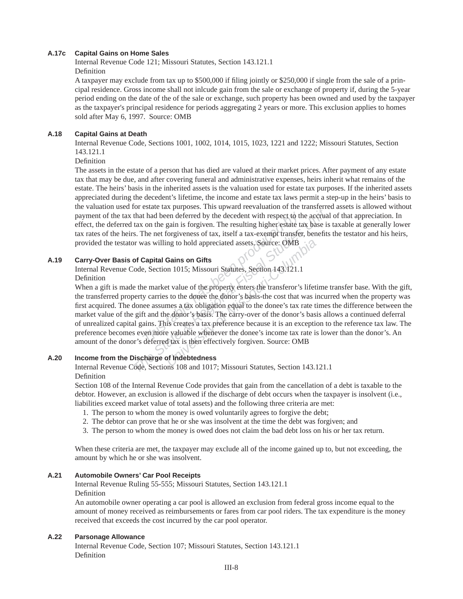#### **A.17c Capital Gains on Home Sales**

Internal Revenue Code 121; Missouri Statutes, Section 143.121.1 Definition

A taxpayer may exclude from tax up to \$500,000 if filing jointly or \$250,000 if single from the sale of a principal residence. Gross income shall not inlcude gain from the sale or exchange of property if, during the 5-year period ending on the date of the of the sale or exchange, such property has been owned and used by the taxpayer as the taxpayer's principal residence for periods aggregating 2 years or more. This exclusion applies to homes sold after May 6, 1997. Source: OMB

#### **A.18 Capital Gains at Death**

Internal Revenue Code, Sections 1001, 1002, 1014, 1015, 1023, 1221 and 1222; Missouri Statutes, Section 143.121.1

Definition

The assets in the estate of a person that has died are valued at their market prices. After payment of any estate tax that may be due, and after covering funeral and administrative expenses, heirs inherit what remains of the estate. The heirs' basis in the inherited assets is the valuation used for estate tax purposes. If the inherited assets appreciated during the decedent's lifetime, the income and estate tax laws permit a step-up in the heirs' basis to the valuation used for estate tax purposes. This upward reevaluation of the trans ferred assets is allowed without payment of the tax that had been deferred by the decedent with respect to the accrual of that appreciation. In effect, the deferred tax on the gain is forgiven. The resulting higher estate tax base is taxable at generally lower tax rates of the heirs. The net forgiveness of tax, itself a tax-exempt transfer, benefits the testator and his heirs, provided the testator was willing to hold appreciated assets. Source: OMB

### **A.19 Carry-Over Basis of Capital Gains on Gifts**

Internal Revenue Code, Section 1015; Missouri Statutes, Section 143.121.1

Definition

*The set is set is a tax produced by the decedent with respect to the on the gain is forgiven. The resulting higher estate the net forgiveness of tax, itself a tax-exempt transfer vas willing to hold appreciated assets. So The text wall the almosts.* The vertical State and point of the accridination of the accridination of the accriding higher estate tax base is s. The net forgiveness of tax, itself a tax-exempt transfer, benefits or was wi Ing to hold appreciated assets. Source: OMB<br> **Gains on Gifts**<br>
In 1015; Missouri Statutes, Section 143.121.1<br>
Et value of the property enters the transferor's lifetive<br>
sto the donee the donor's basis-the cost that was in<br> When a gift is made the market value of the property enters the transferor's lifetime transfer base. With the gift, the transferred property carries to the donee the donor's basis-the cost that was incurred when the property was first acquired. The donee assumes a tax obligation equal to the donee's tax rate times the difference between the market value of the gift and the donor's basis. The carry-over of the donor's basis allows a continued deferral of unrealized capital gains. This creates a tax preference because it is an exception to the reference tax law. The preference becomes even more valuable whenever the donee's income tax rate is lower than the donor's. An amount of the donor's deferred tax is then effectively forgiven. Source: OMB

# **A.20 Income from the Discharge of Indebtedness**

Internal Revenue Code, Sections 108 and 1017; Missouri Statutes, Section 143.121.1 Definition

Section 108 of the Internal Revenue Code provides that gain from the cancellation of a debt is taxable to the debtor. However, an exclusion is allowed if the discharge of debt occurs when the taxpayer is insolvent (i.e., liabilities exceed market value of total assets) and the following three criteria are met:

- 1. The person to whom the money is owed voluntarily agrees to forgive the debt;
- 2. The debtor can prove that he or she was insolvent at the time the debt was for given; and
- 3. The person to whom the money is owed does not claim the bad debt loss on his or her tax return.

When these criteria are met, the taxpayer may exclude all of the income gained up to, but not exceeding, the amount by which he or she was insolvent.

#### **A.21 Automobile Owners' Car Pool Receipts**

Internal Revenue Ruling 55-555; Missouri Statutes, Section 143.121.1 Definition

An automobile owner operating a car pool is allowed an exclusion from federal gross income equal to the amount of money received as reimbursements or fares from car pool riders. The tax expenditure is the money received that exceeds the cost incurred by the car pool operator.

#### **A.22 Parsonage Allowance**

Internal Revenue Code, Section 107; Missouri Statutes, Section 143.121.1 Definition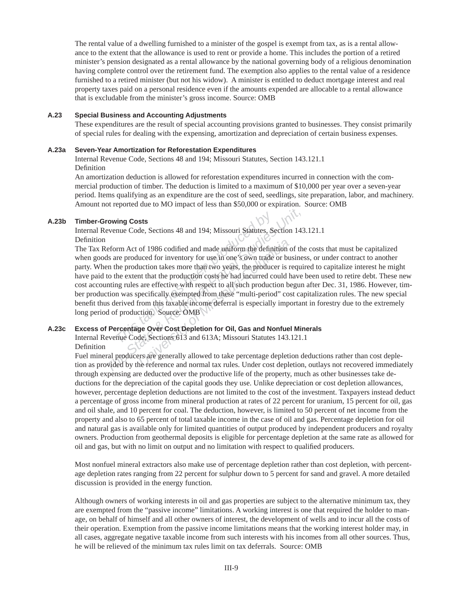The rental value of a dwelling furnished to a minister of the gospel is exempt from tax, as is a rental allowance to the extent that the allowance is used to rent or provide a home. This includes the portion of a retired minister's pension designated as a rental allowance by the national governing body of a religious denomination having complete control over the retirement fund. The exemption also applies to the rental value of a residence furnished to a retired minister (but not his widow). A minister is entitled to deduct mortgage interest and real property taxes paid on a personal residence even if the amounts expended are allocable to a rental allowance that is excludable from the minister's gross income. Source: OMB

#### **A.23 Special Business and Accounting Adjustments**

These expenditures are the result of special accounting provisions granted to businesses. They consist primarily of special rules for dealing with the expensing, amortization and depreciation of certain business expenses.

#### **A.23a Seven-Year Amortization for Reforestation Expenditures**

Internal Revenue Code, Sections 48 and 194; Missouri Statutes, Section 143.121.1 Definition

An amortization deduction is allowed for reforestation expenditures incurred in connection with the commercial production of timber. The deduction is limited to a maximum of \$10,000 per year over a seven-year period. Items qualifying as an expenditure are the cost of seed, seedlings, site preparation, labor, and machinery. Amount not reported due to MO impact of less than \$50,000 or expiration. Source: OMB

#### **A.23b Timber-Growing Costs**

Internal Revenue Code, Sections 48 and 194; Missouri Statutes, Section 143.121.1 Definition

*This Costs*<br>
The Code, Sections 48 and 194; Missouri Statutes, S.<br>
The Produced for inventory for use in one's own trade<br>
the production takes more than two years, the produce<br>
the extent that the production costs he had **The State State And Access State Access State & Region 143**<br> **The State Exercise & Regional Figures Control of the State State Binder State Binder State Binder State Binder<br>
In the produced for inventory for use in one's** of 1986 codified and made uniform the definition uced for inventory for use in one's own trade or buttion takes more than two years, the producer is in that the production costs he had incurred could l are effective with r The Tax Reform Act of 1986 codified and made uniform the definition of the costs that must be capitalized when goods are produced for inventory for use in one's own trade or business, or under contract to another party. When the production takes more than two years, the producer is required to capitalize interest he might have paid to the extent that the production costs he had incurred could have been used to retire debt. These new cost accounting rules are effective with respect to all such production begun after Dec. 31, 1986. However, timber production was specifically exempted from these "multi-period" cost capitalization rules. The new special benefit thus derived from this taxable income deferral is especially important in forestry due to the extremely long period of production. Source: OMB

# **A.23c Excess of Percentage Over Cost Depletion for Oil, Gas and Nonfuel Minerals**

Internal Revenue Code, Sections 613 and 613A; Missouri Statutes 143.121.1 Definition

Fuel mineral producers are generally allowed to take percentage depletion deductions rather than cost depletion as provided by the reference and normal tax rules. Under cost depletion, outlays not recovered immediately through expensing are deducted over the productive life of the property, much as other businesses take deductions for the depreciation of the capital goods they use. Unlike depreciation or cost depletion allowances, however, percentage depletion deductions are not limited to the cost of the investment. Taxpayers instead deduct a percentage of gross income from mineral production at rates of 22 percent for uranium, 15 percent for oil, gas and oil shale, and 10 percent for coal. The deduction, however, is limited to 50 percent of net income from the property and also to 65 percent of total taxable income in the case of oil and gas. Percentage depletion for oil and natural gas is available only for limited quantities of output produced by independent producers and royalty owners. Production from geothermal deposits is eligible for percentage depletion at the same rate as allowed for oil and gas, but with no limit on output and no limitation with respect to qualified producers.

Most nonfuel mineral extractors also make use of percentage depletion rather than cost depletion, with percentage depletion rates ranging from 22 percent for sulphur down to 5 percent for sand and gravel. A more detailed discussion is provided in the energy function.

Although owners of working interests in oil and gas properties are subject to the alternative minimum tax, they are exempted from the "passive income" limitations. A working interest is one that required the holder to manage, on behalf of himself and all other owners of interest, the development of wells and to incur all the costs of their operation. Exemption from the passive income limitations means that the working interest holder may, in all cases, aggregate negative taxable income from such interests with his incomes from all other sources. Thus, he will be relieved of the minimum tax rules limit on tax deferrals. Source: OMB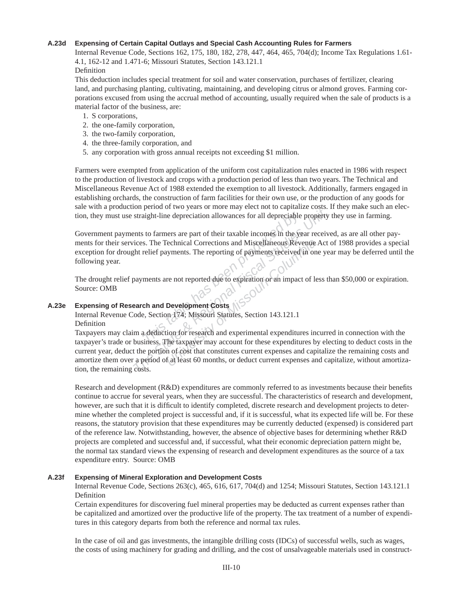#### **A.23d Expensing of Certain Capital Outlays and Special Cash Accounting Rules for Farmers**

Internal Revenue Code, Sections 162, 175, 180, 182, 278, 447, 464, 465, 704(d); Income Tax Regulations 1.61-4.1, 162-12 and 1.471-6; Missouri Statutes, Section 143.121.1 Definition

This deduction includes special treatment for soil and water conservation, purchases of fertilizer, clearing land, and purchasing planting, cultivating, maintaining, and developing citrus or almond groves. Farming corporations excused from using the accrual method of accounting, usually required when the sale of products is a material factor of the business, are:

- 1. S corporations,
- 2. the one-family corporation,
- 3. the two-family corporation,
- 4. the three-family corporation, and
- 5. any corporation with gross annual receipts not exceeding \$1 million.

Farmers were exempted from application of the uniform cost capitalization rules enacted in 1986 with respect to the production of livestock and crops with a production period of less than two years. The Technical and Miscellaneous Revenue Act of 1988 extended the exemption to all livestock. Additionally, farmers engaged in establishing orchards, the construction of farm facilities for their own use, or the production of any goods for sale with a production period of two years or more may elect not to capitalize costs. If they make such an election, they must use straight-line depreciation allowances for all depreciable property they use in farming.

**The depreciation allowances for all depreciable**<br> **The Theorem School School School School School School School School School School School School School School School School School School School School School School Scho** Government payments to farmers are part of their taxable incomes in the year received, as are all other payments for their services. The Technical Corrections and Miscellaneous Revenue Act of 1988 provides a special exception for drought relief payments. The reporting of payments received in one year may be deferred until the following year.

The drought relief payments are not reported due to expiration or an impact of less than \$50,000 or expiration. Source: OMB

### **A.23e Expensing of Research and Development Costs**

Internal Revenue Code, Section 174; Missouri Statutes, Section 143.121.1 Definition

*The State State State State State State State State State State State State State State State State State State State State State State State State State State State State State State State State State State State State S* Fechnical Corrections and Miscellaneous Revenue<br>
Eurerity of payments received in on<br>
The reporting of payments received in on<br>
The reported due to expiration or an impact of le<br>
Development Costs<br>
Development Costs<br>
Mand Taxpayers may claim a deduction for research and experimental expenditures incurred in connection with the taxpayer's trade or business. The taxpayer may account for these expenditures by electing to deduct costs in the current year, deduct the portion of cost that constitutes current expenses and capitalize the remaining costs and amortize them over a period of at least 60 months, or deduct current expenses and capitalize, without amortization, the remaining costs.

Research and development  $(R&D)$  expenditures are commonly referred to as investments because their benefits continue to accrue for several years, when they are successful. The characteristics of research and development, however, are such that it is difficult to identify completed, discrete research and development projects to determine whether the completed project is successful and, if it is successful, what its expected life will be. For these reasons, the statutory provision that these expenditures may be currently deducted (expensed) is considered part of the reference law. Notwithstanding, however, the absence of objective bases for determining whether  $R&D$ projects are completed and successful and, if successful, what their economic depreciation pattern might be, the normal tax standard views the expensing of research and development expenditures as the source of a tax expenditure entry. Source: OMB

#### **A.23f Expensing of Mineral Exploration and Development Costs**

Internal Revenue Code, Sections 263(c), 465, 616, 617, 704(d) and 1254; Missouri Statute s, Section 143.121.1 Definition

Certain expenditures for discovering fuel mineral properties may be deducted as current expenses rather than be capitalized and amortized over the productive life of the property. The tax treatment of a number of expenditures in this category departs from both the reference and normal tax rules.

In the case of oil and gas investments, the intangible drilling costs (IDCs) of successful wells, such as wages, the costs of using machinery for grading and drilling, and the cost of unsalvageable materials used in construct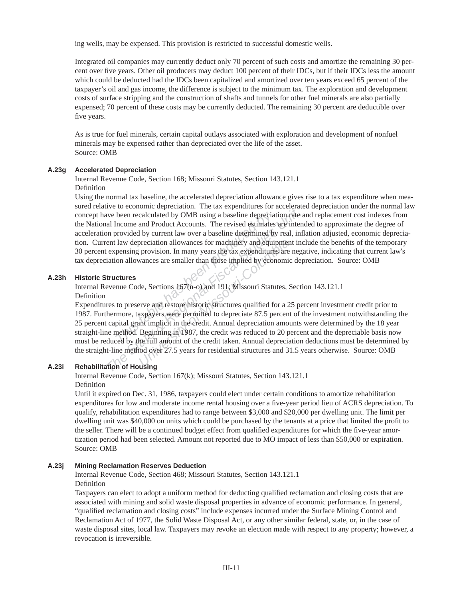ing wells, may be expensed. This provision is restricted to successful domestic wells.

Integrated oil companies may currently deduct only 70 percent of such costs and amortize the remaining 30 percent over five years. Other oil producers may deduct 100 percent of their IDCs, but if their IDCs less the amount which could be deducted had the IDCs been capitalized and amortized over ten years exceed 65 percent of the taxpayer's oil and gas income, the difference is subject to the minimum tax. The exploration and development costs of surface stripping and the construction of shafts and tunnels for other fuel minerals are also partially expensed; 70 percent of these costs may be currently deducted. The remaining 30 percent are deductible over five years.

As is true for fuel minerals, certain capital outlays as sociated with exploration and development of nonfuel minerals may be expensed rather than depreciated over the life of the asset. Source: OMB

#### **A.23g Accelerated Depreciation**

Internal Revenue Code, Section 168; Missouri Statutes, Section 143.121.1 Definition

been recalculated by OMB using a baseline deprecia<br>
Income and Product Accounts. The revised estimates<br>
provided by current law over a baseline determined b<br>
law depreciation allowances for machinery and equi<br>
pensing prov Free constructions and Product Accounts. The presentation rate all Income and Product Accounts. The revised estimates are interesting and Product Accounts. The revised estimates are interesting provided by current law over Using the normal tax baseline, the accelerated depreciation allowance gives rise to a tax expenditure when measured relative to economic depreciation. The tax expenditures for accelerated depreciation under the normal law concept have been recalculated by OMB using a baseline depreciation rate and replacement cost indexes from the National Income and Product Accounts. The revised estimates are intended to approximate the degree of acceleration provided by current law over a baseline determined by real, inflation adjusted, economic depreciation. Current law depreciation allowances for machinery and equipment include the benefits of the temporary 30 percent expensing provision. In many years the tax expenditures are negative, indicating that current law's tax depreciation allowances are smaller than those implied by economic depreciation. Source: OMB

# **A.23h Historic Structures**

Internal Revenue Code, Sections 167(n-o) and 191; Missouri Statutes, Section 143.121.1

#### Definition

provision. In many years the tax expenditures are<br>provision. In many years the tax expenditures are<br>vances are smaller than those implied by economic<br>de, Sections 167(n-o) and 191; Missouri Statutes, 9<br>erve and restore his Expenditures to preserve and restore historic structures qualified for a 25 percent investment credit prior to 1987. Furthermore, taxpayers were permitted to depreciate 87.5 percent of the investment notwithstanding the 25 percent capital grant implicit in the credit. Annual depreciation amounts were determined by the 18 year straight-line method. Beginning in 1987, the credit was reduced to 20 percent and the depreciable basis now must be reduced by the full amount of the credit taken. Annual depreciation deductions must be determined by the straight-line method over 27.5 years for residential structures and 31.5 years otherwise. Source: OMB

#### **A.23i Rehabilitation of Housing**

Internal Revenue Code, Section 167(k); Missouri Statutes, Section 143.121.1 Definition

Until it expired on Dec. 31, 1986, taxpayers could elect under certain conditions to amortize rehabilitation expenditures for low and moderate income rental housing over a five-year period lieu of ACRS depreciation. To qualify, rehabilitation expenditures had to range between \$3,000 and \$20,000 per dwelling unit. The limit per dwelling unit was \$40,000 on units which could be purchased by the tenants at a price that limited the profit to the seller. There will be a continued budget effect from qualified expenditures for which the five-year amortization period had been selected. Amount not reported due to MO impact of less than \$50,000 or expiration. Source: OMB

#### **A.23j Mining Reclamation Reserves Deduction**

Internal Revenue Code, Section 468; Missouri Statutes, Section 143.121.1 Definition

Taxpayers can elect to adopt a uniform method for deducting qualified reclamation and closing costs that are associated with mining and solid waste disposal properties in advance of economic performance. In general, "qualified reclamation and closing costs" include expenses incurred under the Surface Mining Control and Reclamation Act of 1977, the Solid Waste Disposal Act, or any other similar federal, state, or, in the case of waste disposal sites, local law. Taxpayers may revoke an election made with respect to any property; however, a revocation is irreversible.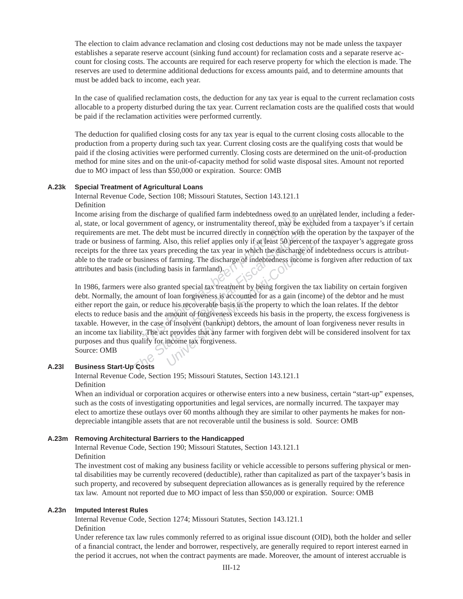The election to claim advance reclamation and closing cost deductions may not be made unless the tax payer establishes a separate reserve account (sinking fund account) for reclamation costs and a separate reserve account for closing costs. The accounts are required for each reserve property for which the election is made. The reserves are used to determine additional deductions for excess amounts paid, and to determine amounts that must be added back to income, each year.

In the case of qualified reclamation costs, the deduction for any tax year is equal to the current reclamation costs allocable to a property disturbed during the tax year. Current reclamation costs are the qualified costs that would be paid if the reclamation activities were performed currently.

The deduction for qualified closing costs for any tax year is equal to the current closing costs allocable to the production from a property during such tax year. Current closing costs are the qualifying costs that would be paid if the closing activities were performed currently. Closing costs are determined on the unit-of-production method for mine sites and on the unit-of-capacity method for solid waste disposal sites. Amount not reported due to MO impact of less than \$50,000 or expiration. Source: OMB

#### **A.23k Special Treatment of Agricultural Loans**

Internal Revenue Code, Section 108; Missouri Statutes, Section 143.121.1 Definition

**The discharge of qualified farm indebtedness owed to a mment of agency, or instrumentality thereof, may be The debt must be incurred directly in connection with ming. Also, this relief applies only if at least 50 perce ax** Income arising from the discharge of qualified farm indebtedness owed to an unrelated lender, including a federal, state, or local government of agency, or instrumentality thereof, may be excluded from a taxpayer's if certain requirements are met. The debt must be incurred directly in connection with the operation by the taxpayer of the trade or business of farming. Also, this relief applies only if at least 50 percent of the taxpayer's aggregate gross receipts for the three tax years preceding the tax year in which the discharge of indebtedness occurs is attributable to the trade or business of farming. The discharge of indebtedness income is forgiven after reduction of tax attributes and basis (including basis in farmland).

In the discharge of qualified farm indebtedness owed to an unrelate<br>vernment of agency, or instrumentality thereof, may be excluded<br>et. The debt must be incurred directly in connection with the oper:<br>farming. Also, this re Also, this relief applies only if at least 50 percent of preceding the tax year in which the discharge of if farming. The discharge of indebtedness income is basis in farmland).<br>
unted special tax treatment by being forgiv In 1986, farmers were also granted special tax treatment by being forgiven the tax liability on certain forgiven debt. Normally, the amount of loan forgiveness is accounted for as a gain (income) of the debtor and he must either report the gain, or reduce his recoverable basis in the property to which the loan relates. If the debtor elects to reduce basis and the amount of forgiveness exceeds his basis in the property, the excess forgiveness is taxable. However, in the case of insolvent (bankrupt) debtors, the amount of loan forgiveness never results in an income tax liability. The act provides that any farmer with forgiven debt will be considered insolvent for tax purposes and thus qualify for income tax forgiveness. Source: OMB

# **A.23l Business Start-Up Costs**

Internal Revenue Code, Section 195; Missouri Statutes, Section 143.121.1 Definition

When an individual or corporation acquires or otherwise enters into a new business, certain "start-up" expenses, such as the costs of investigating opportunities and legal services, are normally incurred. The taxpayer may elect to amortize these outlays over 60 months although they are similar to other payments he makes for nondepreciable intangible assets that are not recoverable until the business is sold. Source: OMB

#### **A.23m Removing Architectural Barriers to the Handicapped**

Internal Revenue Code, Section 190; Missouri Statutes, Section 143.121.1 Definition

The investment cost of making any business facility or vehicle accessible to persons suffering physical or mental disabilities may be currently recovered (deductible), rather than capitalized as part of the taxpayer's basis in such property, and recovered by subsequent depreciation allowances as is generally required by the reference tax law. Amount not reported due to MO impact of less than \$50,000 or expiration. Source: OMB

#### **A.23n Imputed Interest Rules**

Internal Revenue Code, Section 1274; Missouri Statutes, Section 143.121.1

Definition

Under reference tax law rules commonly referred to as original issue discount (OID), both the holder and seller of a financial contract, the lender and borrower, respectively, are generally required to report interest earned in the period it accrues, not when the contract payments are made. Moreover, the amount of interest accruable is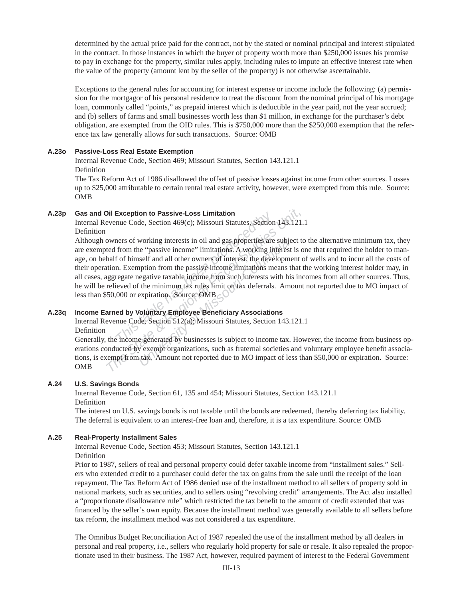determined by the actual price paid for the contract, not by the stated or nominal principal and interest stipulated in the contract. In those instances in which the buyer of property worth more than \$250,000 issues his promise to pay in exchange for the property, similar rules apply, including rules to impute an effective interest rate when the value of the property (amount lent by the seller of the property) is not otherwise ascertainable.

Exceptions to the general rules for accounting for interest expense or income include the following: (a) permission for the mortgagor of his personal residence to treat the discount from the nominal principal of his mortgage loan, commonly called "points," as prepaid interest which is deductible in the year paid, not the year accrued; and (b) sellers of farms and small businesses worth less than \$1 million, in exchange for the purchaser's debt obligation, are exempted from the OID rules. This is \$750,000 more than the \$250,000 exemption that the reference tax law generally allows for such transactions. Source: OMB

#### **A.23o Passive-Loss Real Estate Exemption**

Internal Revenue Code, Section 469; Missouri Statutes, Section 143.121.1 Definition

The Tax Reform Act of 1986 disallowed the offset of passive losses against income from other sources. Losses up to \$25,000 attributable to certain rental real estate activity, however, were exempted from this rule. Source: OMB

#### **A.23p Gas and Oil Exception to Passive-Loss Limitation**

Internal Revenue Code, Section 469(c); Missouri Statutes, Section 143.121.1 Definition

**Exception to Passive-Loss Limitation**<br>nue Code, Section 469(c); Missouri Statutes, Section<br>ners of working interests in oil and gas properties are<br>from the "passive income" limitations. A working in<br>f of himself and all **Dil Exception to Passive-Loss Limitation**<br>
Evenue Code, Section 469(c); Missouri Statutes, Section 143.121.<br>
Downers of working interests in oil and gas properties are subject to<br>
ted from the "passive income" limitations *University interests in oil and gas properties are subjes* (e "passive income" limitations. A working interest self and all other owners of interest, the developm protion from the passive income limitations means to egati Although owners of working interests in oil and gas properties are subject to the alternative minimum tax, they are exempted from the "passive income" limitations. A working interest is one that required the holder to manage, on behalf of himself and all other owners of interest, the development of wells and to incur all the costs of their operation. Exemption from the passive income limitations means that the working interest holder may, in all cases, aggregate negative taxable income from such interests with his incomes from all other sources. Thus, he will be relieved of the minimum tax rules limit on tax deferrals. Amount not reported due to MO impact of less than \$50,000 or expiration. Source: OMB

#### **A.23q Income Earned by Voluntary Employee Benefi ciary Associations**

Internal Revenue Code, Section 512(a); Missouri Statutes, Section 143.121.1

Definition

Generally, the income generated by businesses is subject to income tax. However, the income from business operations conducted by exempt organizations, such as fraternal societies and voluntary employee benefit associations, is exempt from tax. Amount not reported due to MO impact of less than \$50,000 or expiration. Source: OMB

#### **A.24 U.S. Savings Bonds**

Internal Revenue Code, Section 61, 135 and 454; Missouri Statutes, Section 143.121.1 Definition

The interest on U.S. savings bonds is not taxable until the bonds are redeemed, thereby deferring tax liability. The deferral is equivalent to an interest-free loan and, therefore, it is a tax expenditure. Source: OMB

#### **A.25 Real-Property Installment Sales**

Internal Revenue Code, Section 453; Missouri Statutes, Section 143.121.1 Definition

Prior to 1987, sellers of real and personal property could defer taxable income from "installment sales." Sellers who extended credit to a purchaser could defer the tax on gains from the sale until the receipt of the loan repayment. The Tax Reform Act of 1986 denied use of the installment method to all sellers of property sold in national markets, such as securities, and to sellers using "revolving credit" arrangements. The Act also installed a "proportionate disallowance rule" which restricted the tax benefit to the amount of credit extended that was financed by the seller's own equity. Because the installment method was generally available to all sellers before tax reform, the installment method was not considered a tax expenditure.

The Omnibus Budget Reconciliation Act of 1987 repealed the use of the installment method by all dealers in personal and real property, i.e., sellers who regularly hold property for sale or resale. It also repealed the proportionate used in their business. The 1987 Act, however, required payment of interest to the Federal Government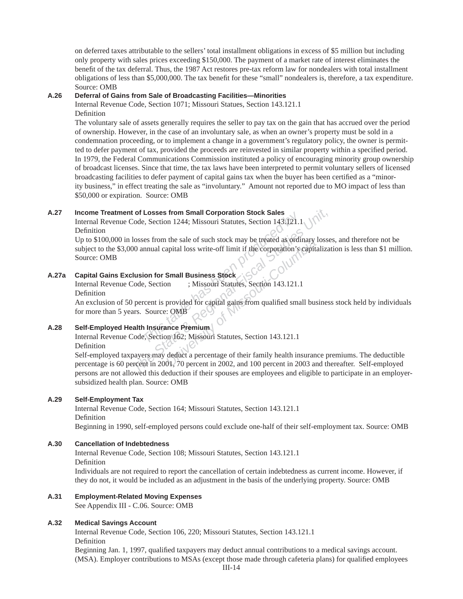on deferred taxes attributable to the sellers' total installment obligations in excess of \$5 million but including only property with sales prices exceed ing \$150,000. The payment of a market rate of interest eliminates the benefit of the tax deferral. Thus, the 1987 Act restores pre-tax reform law for nondealers with total installment obligations of less than \$5,000,000. The tax benefit for these "small" nondealers is, therefore, a tax expenditure. Source: OMB

#### **A.26 Deferral of Gains from Sale of Broadcasting Facilities—Minorities**

Internal Revenue Code, Section 1071; Missouri Statues, Section 143.121.1 Definition

The voluntary sale of assets generally requires the seller to pay tax on the gain that has accrued over the period of ownership. However, in the case of an involuntary sale, as when an owner's property must be sold in a condemnation proceeding, or to implement a change in a government's regulatory policy, the owner is permitted to defer payment of tax, provided the proceeds are reinvested in similar property within a specified period. In 1979, the Federal Communications Commission instituted a policy of encouraging minority group ownership of broadcast licenses. Since that time, the tax laws have been interpreted to permit voluntary sellers of licensed broadcasting facilities to defer payment of capital gains tax when the buyer has been certified as a "minority business," in effect treating the sale as "involuntary." Amount not reported due to MO impact of less than \$50,000 or expiration. Source: OMB

#### **A.27 Income Treatment of Losses from Small Corporation Stock Sales**

Internal Revenue Code, Section 1244; Missouri Statutes, Section 143.121.1 Definition

**The Example Has Been produced by Control States**<br> **The Section 1244;** Missouri Statutes, Section 143.121.1<br> **The absorting has been produced by Contract and Solution**<br> **This is the Comporation**<br> **This is the Comporation**<br> **The State State State State State State And The State State State State State State State Book State State State State State As ordinary losse<br>
10 annual capital loss write-off limit if the corporation's capitalizat<br>
15 u** In the sale of such stock may be treated as ordinary<br>
apital loss write-off limit if the corporation's capital<br> **Small Business Stock**<br>
in ; Missouri Statutes, Section 143.121.1<br>
provided for capital gains from qualified s Up to \$100,000 in losses from the sale of such stock may be treated as ordinary losses, and therefore not be subject to the \$3,000 annual capital loss write-off limit if the corporation's capitalization is less than \$1 million. Source: OMB

# **A.27a Capital Gains Exclusion for Small Business Stock**

Internal Revenue Code, Section ; Missouri Statutes, Section 143.121.1 Definition

An exclusion of 50 percent is provided for capital gains from qualified small business stock held by individuals for more than 5 years. Source: OMB

# **A.28 Self-Employed Health Insurance Premium**

Internal Revenue Code, Section 162; Missouri Statutes, Section 143.121.1 Definition

Self-employed taxpayers may deduct a percentage of their family health insurance premiums. The deductible percentage is 60 percent in 2001, 70 percent in 2002, and 100 percent in 2003 and thereafter. Self-employed persons are not allowed this deduction if their spouses are employees and eligible to participate in an employersubsidized health plan. Source: OMB

#### **A.29 Self-Employment Tax**

Internal Revenue Code, Section 164; Missouri Statutes, Section 143.121.1 Definition Beginning in 1990, self-employed persons could exclude one-half of their self-employment tax. Source: OMB

#### **A.30 Cancellation of Indebtedness**

Internal Revenue Code, Section 108; Missouri Statutes, Section 143.121.1 Definition

Individuals are not required to report the cancellation of certain indebtedness as current income. However, if they do not, it would be included as an adjustment in the basis of the underlying property. Source: OMB

### **A.31 Employment-Related Moving Expenses**

See Appendix III - C.06. Source: OMB

### **A.32 Medical Savings Account**

Internal Revenue Code, Section 106, 220; Missouri Statutes, Section 143.121.1 Definition

Beginning Jan. 1, 1997, qualified taxpayers may deduct annual contributions to a medical savings account. (MSA). Employer contributions to MSAs (except those made through cafeteria plans) for qualified employees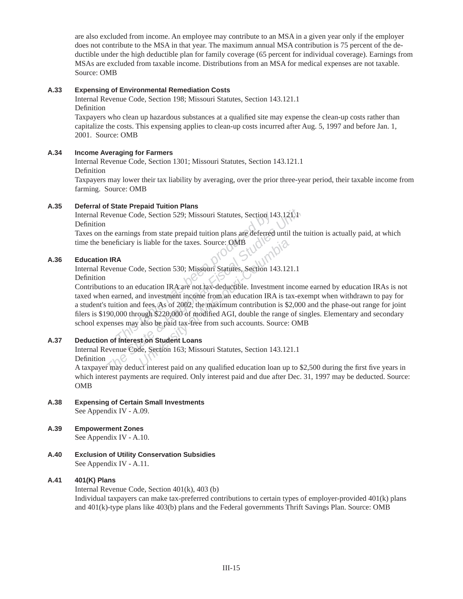are also excluded from income. An employee may contribute to an MSA in a given year only if the employer does not contribute to the MSA in that year. The maximum annual MSA contribution is 75 percent of the deductible under the high deductible plan for family coverage (65 percent for individual coverage). Earnings from MSAs are excluded from taxable income. Distributions from an MSA for medical expenses are not taxable. Source: OMB

### **A.33 Expensing of Environmental Remediation Costs**

Internal Revenue Code, Section 198; Missouri Statutes, Section 143.121.1 Definition

Taxpayers who clean up hazardous substances at a qualified site may expense the clean-up costs rather than capitalize the costs. This expensing applies to clean-up costs incurred after Aug. 5, 1997 and before Jan. 1, 2001. Source: OMB

# **A.34 Income Averaging for Farmers**

Internal Revenue Code, Section 1301; Missouri Statutes, Section 143.121.1 Definition

Taxpayers may lower their tax liability by averaging, over the prior three-year period, their taxable income from farming. Source: OMB

# **A.35 Deferral of State Prepaid Tuition Plans**

Internal Revenue Code, Section 529; Missouri Statutes, Section 143.121.11 Definition

Taxes on the earnings from state prepaid tuition plans are deferred until the tuition is actually paid, at which time the beneficiary is liable for the taxes. Source: OMB

# **A.36 Education IRA**

Internal Revenue Code, Section 530; Missouri Statutes, Section 143.121.1

Definition

nue Code, Section 529; Missouri Statutes, Section 14<br> *The armings from state prepaid tuition plans are deferred*<br> *This table for the taxes. Source: ONB*<br> **A**<br> **A**<br> **A**<br> **A**<br> **A**<br> **Code, Section 530; Missouri Statutes, Se** *The earnings from state prepaid tuition plans are deferred until the tennings from state prepaid tuition plans are deferred until the tennings from state prepaid tuition plans are deferred until the tennings is liable for* **Example 18 Solution State 18 Solution**<br> **Example 18 Solution IRA are not tax-deductible. Investment in<br>
ducation IRA are not tax-deductible. Investment in<br>
ind investment income from an education IRA is ta<br>
<b>I** fees. As o Contributions to an education IRA are not tax-deductible. Investment income earned by education IRAs is not taxed when earned, and investment income from an education IRA is tax-exempt when withdrawn to pay for a student's tuition and fees. As of 2002, the maximum contribution is \$2,000 and the phase-out range for joint filers is \$190,000 through \$220,000 of modified AGI, double the range of singles. Elementary and secondary school expenses may also be paid tax-free from such accounts. Source: OMB

# **A.37 Deduction of Interest on Student Loans**

Internal Revenue Code, Section 163; Missouri Statutes, Section 143.121.1

Definition

A taxpayer may deduct interest paid on any qualified education loan up to \$2,500 during the first five years in which interest payments are required. Only interest paid and due after Dec. 31, 1997 may be deducted. Source: OMB

- **A.38 Expensing of Certain Small Investments** See Appendix IV - A.09.
- **A.39 Empowerment Zones** See Appendix IV - A.10.
- **A.40 Exclusion of Utility Conservation Subsidies** See Appendix IV - A.11.

# **A.41 401(K) Plans**

Internal Revenue Code, Section 401(k), 403 (b) Individual taxpayers can make tax-preferred contributions to certain types of employer-provided  $401(k)$  plans and 401(k)-type plans like 403(b) plans and the Federal governments Thrift Savings Plan. Source: OMB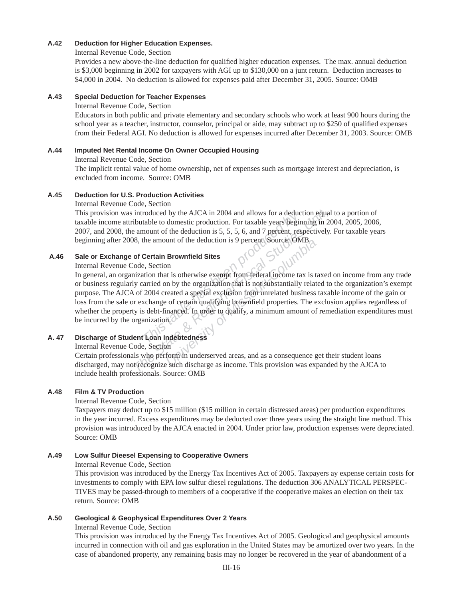#### **A.42 Deduction for Higher Education Expenses.**

#### Internal Revenue Code, Section

Provides a new above-the-line deduction for qualified higher education expenses. The max. annual deduction is \$3,000 beginning in 2002 for taxpayers with AGI up to \$130,000 on a junt return. Deduction increases to \$4,000 in 2004. No deduction is allowed for expenses paid after December 31, 2005. Source: OMB

#### **A.43 Special Deduction for Teacher Expenses**

#### Internal Revenue Code, Section

 Educators in both public and private elementary and secondary schools who work at least 900 hours during the school year as a teacher, instructor, counselor, principal or aide, may subtract up to \$250 of qualified expenses from their Federal AGI. No deduction is allowed for expenses incurred after December 31, 2003. Source: OMB

#### **A.44 Imputed Net Rental Income On Owner Occupied Housing**

Internal Revenue Code, Section

The implicit rental value of home ownership, net of expenses such as mortgage interest and depreciation, is excluded from income. Source: OMB

### **A.45 Deduction for U.S. Production Activities**

Internal Revenue Code, Section

This provision was introduced by the AJCA in 2004 and allows for a deduction equal to a portion of taxable income attributable to domestic production. For taxable years beginning in 2004, 2005, 2006, 2007, and 2008, the amount of the deduction is 5, 5, 5, 6, and 7 percent, respectively. For taxable years beginning after 2008, the amount of the deduction is 9 percent. Source: OMB

### A.46 Sale or Exchange of Certain Brownfield Sites

#### Internal Revenue Code, Section

Fraction Columeters of the AJCA in 2004 and allows for a deductable to domestic production. For taxable years beging<br>
mount of the deduction is 5, 5, 5, 6, and 7 percent, res<br>
the amount of the deduction is 9 percent. Sour introduced by the AJCA in 2004 and allows for a deduction equal<br> *The State Bubliotable to domestic production.* For taxable years beginning in 20<br> *The amount of the deduction is* 5, 5, 5, 6, and 7 percent, respectively.<br> **Example 19 Second States**<br> **Example 19 Second States**<br>
In<br>
the is otherwise exempt from federal income tax is to<br>
the organization that is not substantially related a special exclusion from unrelated business<br>
of certain In general, an organization that is otherwise exempt from federal income tax is taxed on income from any trade or business regularly carried on by the organization that is not substantially related to the organization's exempt purpose. The AJCA of 2004 created a special exclusion from unrelated business taxable income of the gain or loss from the sale or exchange of certain qualifying brownfield properties. The exclusion applies regardless of whether the property is debt-financed. In order to qualify, a minimum amount of remediation expenditures must be incurred by the organization.

# **A. 47 Discharge of Student Loan Indebtedness**

Internal Revenue Code, Section

 Certain professionals who perform in underserved areas, and as a consequence get their student loans discharged, may not recognize such discharge as income. This provision was expanded by the AJCA to include health professionals. Source: OMB

### **A.48 Film & TV Production**

#### Internal Revenue Code, Section

Taxpayers may deduct up to \$15 million (\$15 million in certain distressed areas) per production expenditures in the year incurred. Excess expenditures may be deducted over three years using the straight line method. This provision was introduced by the AJCA enacted in 2004. Under prior law, production expenses were depreciated. Source: OMB

### **A.49 Low Sulfur Dieesel Expensing to Cooperative Owners**

Internal Revenue Code, Section

This provision was introduced by the Energy Tax Incentives Act of 2005. Taxpayers ay expense certain costs for investments to comply with EPA low sulfur diesel regulations. The deduction 306 ANALYTICAL PERSPEC-TIVES may be passed-through to members of a cooperative if the cooperative makes an election on their tax return. Source: OMB

### **A.50 Geological & Geophysical Expenditures Over 2 Years**

Internal Revenue Code, Section

This provision was introduced by the Energy Tax Incentives Act of 2005. Geological and geophysical amounts incurred in connection with oil and gas exploration in the United States may be amortized over two years. In the case of abandoned property, any remaining basis may no longer be recovered in the year of abandonment of a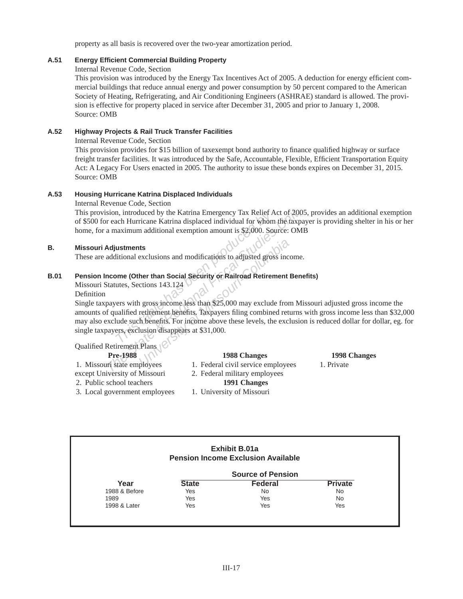property as all basis is recovered over the two-year amortization period.

#### **A.51 Energy Effi cient Commercial Building Property**

Internal Revenue Code, Section

This provision was introduced by the Energy Tax Incentives Act of 2005. A deduction for energy efficient commercial buildings that reduce annual energy and power consumption by 50 percent compared to the American Society of Heating, Refrigerating, and Air Conditioning Engineers (ASHRAE) standard is allowed. The provision is effective for property placed in service after December 31, 2005 and prior to January 1, 2008. Source: OMB

#### **A.52 Highway Projects & Rail Truck Transfer Facilities**

Internal Revenue Code, Section

This provision provides for \$15 billion of taxexempt bond authority to finance qualified highway or surface freight transfer facilities. It was introduced by the Safe, Accountable, Flexible, Efficient Transportation Equity Act: A Legacy For Users enacted in 2005. The authority to issue these bonds expires on December 31, 2015. Source: OMB

#### **A.53 Housing Hurricane Katrina Displaced Individuals**

Internal Revenue Code, Section

This provision, introduced by the Katrina Emergency Tax Relief Act of 2005, provides an additional exemption of \$500 for each Hurricane Katrina displaced individual for whom the taxpayer is providing shelter in his or her home, for a maximum additional exemption amount is \$2,000. Source: OMB

#### **B. Missouri Adjustments**

These are additional exclusions and modifications to adjusted gross income.

# **B.01 Pension Income (Other than Social Security or Railroad Retirement Benefi ts)**

Missouri Statutes, Sections 143.124

Definition

In a introduced by the Katrina Emergency Tax Relief A<br>
ach Hurricane Katrina displaced individual for whom<br>
naximum additional exemption amount is \$2,000. So<br> **ustments**<br>
litional exclusions and modifications to adjusted g Fractional Finds and Markov and Markov and Markov and Markov and Markov and Markov and Markov and Markov and Markov and Markov and Markov and Markov and Markov and Markov and Markov and Historical Security of Railroad Reti **Exclusions and modifications to adjusted gross incoments therefore than Social Security or Railroad Retirement critions 143.124**<br> **University of Missouri-Columbia**<br> **University of Missouri-Columbia**<br> **University of Missou** Single taxpayers with gross income less than \$25,000 may exclude from Missouri adjusted gross income the amounts of qualified retirement benefits. Taxpayers filing combined returns with gross income less than \$32,000 may also exclude such benefits. For income above these levels, the exclusion is reduced dollar for dollar, eg. for single taxpayers, exclusion disappears at \$31,000.

Qualified Retirement Plans

- 
- except University of Missouri 2. Federal military employees
- 2. Public school teachers **1991 Changes**
- 3. Local government employees 1. University of Missouri

# **Pre-1988 1988 Changes 1998 Changes**

- 1. Missouri state employees 1. Federal civil service employees 1. Private
	- -
	-

|               |              | <b>Exhibit B.01a</b><br><b>Pension Income Exclusion Available</b> |                |
|---------------|--------------|-------------------------------------------------------------------|----------------|
|               |              | <b>Source of Pension</b>                                          |                |
| Year          | <b>State</b> | <b>Federal</b>                                                    | <b>Private</b> |
| 1988 & Before | Yes          | <b>No</b>                                                         | <b>No</b>      |
| 1989          | Yes          | Yes                                                               | <b>No</b>      |
| 1998 & Later  | Yes          | Yes                                                               | Yes            |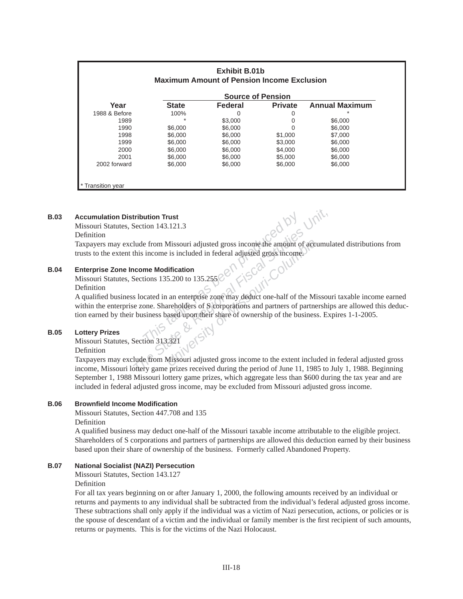|               | <b>Source of Pension</b> |         |                |                       |  |  |
|---------------|--------------------------|---------|----------------|-----------------------|--|--|
| Year          | <b>State</b>             | Federal | <b>Private</b> | <b>Annual Maximum</b> |  |  |
| 1988 & Before | 100%                     | 0       | 0              |                       |  |  |
| 1989          | 大                        | \$3,000 | 0              | \$6,000               |  |  |
| 1990          | \$6,000                  | \$6,000 | 0              | \$6,000               |  |  |
| 1998          | \$6,000                  | \$6,000 | \$1,000        | \$7,000               |  |  |
| 1999          | \$6,000                  | \$6,000 | \$3,000        | \$6,000               |  |  |
| 2000          | \$6,000                  | \$6,000 | \$4,000        | \$6,000               |  |  |
| 2001          | \$6,000                  | \$6,000 | \$5,000        | \$6,000               |  |  |
| 2002 forward  | \$6,000                  | \$6,000 | \$6,000        | \$6,000               |  |  |

#### **B.03 Accumulation Distribution Trust**

Missouri Statutes, Section 143.121.3

#### Definition

Taxpayers may exclude from Missouri adjusted gross income the amount of accumulated distributions from trusts to the extent this income is included in federal adjusted gross income.

#### **B.04** Enterprise Zone Income Modification

Missouri Statutes, Sections 135.200 to 135.255

#### Definition

**Example 143.121.3**<br> **Example 143.121.3**<br> **Example 143.121.3**<br> **Example 15 included in federal adjusted gross income**<br> **The Modification**<br> **The Modification**<br> **The Modification**<br> **The Modification**<br> **The Modification**<br> **Th Example 143.121.3**<br> **IDENTIFY SECTION INTERNATION SECTION MANUSTER IN THE SECTION MANUST SECTION MANUST SECTION SECTION SECTION SECTION SECTION SECTION SECTION SECTION SECTION SECTION SECTION SECTION SECTION STATE STATE S** Missouri adjusted gross income the amount of accretion<br> *University of Microsystem*<br> *University of Microsystem of Microsystem of Microsystem of Scorporations*<br> **Example 18 and 18 and 18 and 18 and 18 and 18 and 18 and 18** A qualified business located in an enterprise zone may deduct one-half of the Missouri taxable income earned within the enterprise zone. Shareholders of S corporations and partners of partnerships are allowed this deduction earned by their business based upon their share of ownership of the business. Expires 1-1-2005.

#### **B.05 Lottery Prizes**

Missouri Statutes, Section 313.321

Definition

Taxpayers may exclude from Missouri adjusted gross income to the ex tent included in federal adjusted gross income, Missouri lottery game prizes received during the period of June 11, 1985 to July 1, 1988. Beginning September 1, 1988 Missouri lottery game prizes, which aggregate less than \$600 during the tax year and are included in federal adjusted gross income, may be excluded from Missouri adjusted gross income.

#### **B.06 Brownfi eld Income Modifi cation**

Missouri Statutes, Section 447.708 and 135

Definition

A qualifi ed business may deduct one-half of the Missouri taxable income attributable to the eligible project. Shareholders of S corporations and partners of partnerships are allowed this deduction earned by their business based upon their share of ownership of the business. Formerly called Abandoned Property.

#### **B.07 National Socialist (NAZI) Persecution**

Missouri Statutes, Section 143.127

Definition

For all tax years beginning on or after January 1, 2000, the following amounts received by an individual or returns and payments to any individual shall be subtracted from the individual's federal adjusted gross income. These subtractions shall only apply if the individual was a victim of Nazi persecution, actions, or policies or is the spouse of descendant of a victim and the individual or family member is the first recipient of such amounts, returns or payments. This is for the victims of the Nazi Holocaust.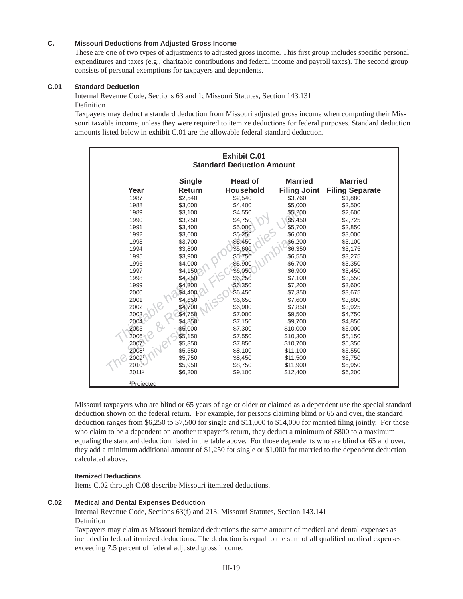#### **C. Missouri Deductions from Adjusted Gross Income**

These are one of two types of adjustments to adjusted gross income. This first group includes specific personal expenditures and taxes (e.g., charitable contributions and federal income and payroll taxes). The second group consists of personal exemptions for taxpayers and dependents.

### **C.01 Standard Deduction**

Internal Revenue Code, Sections 63 and 1; Missouri Statutes, Section 143.131 Definition

Taxpayers may deduct a standard deduction from Missouri adjusted gross income when computing their Missouri taxable income, unless they were required to itemize deductions for federal purposes. Standard deduction amounts listed below in exhibit C.01 are the allowable federal standard deduction.

| <b>Exhibit C.01</b><br><b>Standard Deduction Amount</b> |               |                  |                     |                        |  |  |
|---------------------------------------------------------|---------------|------------------|---------------------|------------------------|--|--|
|                                                         | <b>Single</b> | <b>Head of</b>   | <b>Married</b>      | <b>Married</b>         |  |  |
| Year                                                    | <b>Return</b> | <b>Household</b> | <b>Filing Joint</b> | <b>Filing Separate</b> |  |  |
| 1987                                                    | \$2,540       | \$2,540          | \$3.760             | \$1.880                |  |  |
| 1988                                                    | \$3,000       | \$4,400          | \$5,000             | \$2,500                |  |  |
| 1989                                                    | \$3,100       | \$4,550          | \$5,200             | \$2,600                |  |  |
| 1990                                                    | \$3,250       | \$4,750          | \$5,450             | \$2,725                |  |  |
| 1991                                                    | \$3,400       | \$5,000          | \$5,700             | \$2,850                |  |  |
| 1992                                                    | \$3,600       | \$5,250          | \$6,000             | \$3,000                |  |  |
| 1993                                                    | \$3,700       | \$5,450          | \$6,200             | \$3,100                |  |  |
| 1994                                                    | \$3,800       | \$5,600          | \$6,350             | \$3,175                |  |  |
| 1995                                                    | \$3,900       | \$5,750          | \$6,550             | \$3,275                |  |  |
| 1996                                                    | \$4,000       | \$5,900          | \$6,700             | \$3,350                |  |  |
| 1997                                                    | \$4,150       | \$6,050          | \$6,900             | \$3,450                |  |  |
| 1998                                                    | \$4,250       | \$6,250          | \$7,100             | \$3,550                |  |  |
| 1999                                                    | \$4,300       | \$6,350          | \$7,200             | \$3,600                |  |  |
| 2000                                                    | \$4,400       | \$6,450          | \$7,350             | \$3,675                |  |  |
| 2001                                                    | \$4,550       | \$6,650          | \$7,600             | \$3,800                |  |  |
| 2002                                                    | \$4,700       | \$6,900          | \$7,850             | \$3,925                |  |  |
| 2003                                                    | \$4,750       | \$7,000          | \$9,500             | \$4,750                |  |  |
| 2004                                                    | \$4,850       | \$7,150          | \$9,700             | \$4,850                |  |  |
| 2005                                                    | \$5,000       | \$7,300          | \$10,000            | \$5,000                |  |  |
| 2006                                                    | \$5,150       | \$7,550          | \$10,300            | \$5,150                |  |  |
| 20071                                                   | \$5,350       | \$7,850          | \$10,700            | \$5,350                |  |  |
| 20081                                                   | \$5,550       | \$8,100          | \$11,100            | \$5,550                |  |  |
| 20091                                                   | \$5,750       | \$8,450          | \$11,500            | \$5,750                |  |  |
| 2010                                                    | \$5,950       | \$8,750          | \$11,900            | \$5,950                |  |  |
| 20111                                                   | \$6,200       | \$9,100          | \$12,400            | \$6,200                |  |  |
| <sup>1</sup> Projected                                  |               |                  |                     |                        |  |  |

Missouri taxpayers who are blind or 65 years of age or older or claimed as a dependent use the special standard deduction shown on the federal return. For example, for persons claiming blind or 65 and over, the standard deduction ranges from  $$6,250$  to  $$7,500$  for single and  $$11,000$  to  $$14,000$  for married filing jointly. For those who claim to be a dependent on another taxpayer's return, they deduct a minimum of \$800 to a maximum equaling the standard deduction listed in the table above. For those dependents who are blind or 65 and over, they add a minimum additional amount of \$1,250 for single or \$1,000 for married to the dependent deduction calculated above.

#### **Itemized Deductions**

Items C.02 through C.08 describe Missouri itemized deductions.

#### **C.02 Medical and Dental Expenses Deduction**

Internal Revenue Code, Sections 63(f) and 213; Missouri Statutes, Section 143.141 Definition

Taxpayers may claim as Missouri itemized deductions the same amount of medical and dental expenses as included in federal itemized deductions. The deduction is equal to the sum of all qualified medical expenses exceeding 7.5 percent of federal adjusted gross income.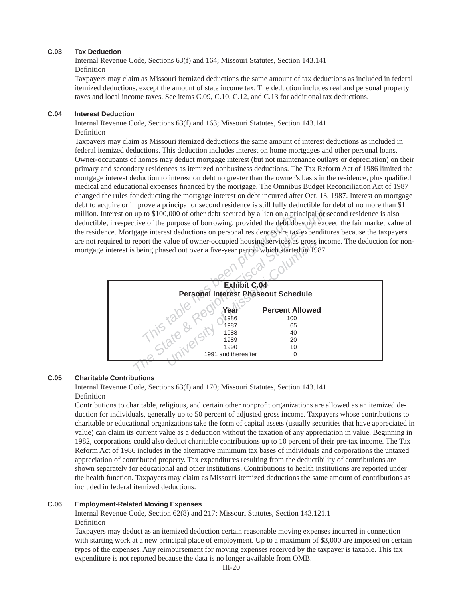#### **C.03 Tax Deduction**

Internal Revenue Code, Sections 63(f) and 164; Missouri Statutes, Section 143.141 Definition

Taxpayers may claim as Missouri itemized deductions the same amount of tax deductions as included in federal itemized deductions, except the amount of state income tax. The deduction includes real and personal property taxes and local income taxes. See items C.09, C.10, C.12, and C.13 for additional tax deductions.

#### **C.04 Interest Deduction**

Internal Revenue Code, Sections 63(f) and 163; Missouri Statutes, Section 143.141 Definition

Taxpayers may claim as Missouri itemized deductions the same amount of interest deductions as included in federal itemized deductions. This deduction includes interest on home mortgages and other personal loans. Owner-occupants of homes may deduct mortgage interest (but not maintenance outlays or depreciation) on their primary and secondary residences as itemized nonbusiness deductions. The Tax Reform Act of 1986 limited the mortgage interest deduction to interest on debt no greater than the owner's basis in the residence, plus qualified medical and educational expenses financed by the mortgage. The Omnibus Budget Reconciliation Act of 1987 changed the rules for deducting the mortgage interest on debt incurred after Oct. 13, 1987. Interest on mortgage debt to acquire or improve a principal or second residence is still fully deductible for debt of no more than \$1 million. Interest on up to \$100,000 of other debt secured by a lien on a principal or second residence is also deductible, irrespective of the purpose of borrowing, provided the debt does not exceed the fair market value of the residence. Mortgage interest deductions on personal residences are tax expenditures because the taxpayers are not required to report the value of owner-occupied housing services as gross income. The deduction for nonmortgage interest is being phased out over a five-year period which started in 1987.



### **C.05 Charitable Contributions**

Internal Revenue Code, Sections 63(f) and 170; Missouri Statutes, Section 143.141 Definition

Contributions to charitable, religious, and certain other nonprofit organizations are allowed as an itemized deduction for individuals, generally up to 50 percent of adjusted gross income. Taxpayers whose contributions to charitable or educational organizations take the form of capital assets (usually securities that have appreciated in value) can claim its current value as a deduction without the taxation of any appreciation in value. Beginning in 1982, corporations could also deduct charitable contributions up to 10 percent of their pre-tax income. The Tax Reform Act of 1986 includes in the alternative minimum tax bases of individuals and corporations the untaxed appreciation of contributed property. Tax expenditures resulting from the deductibility of contributions are shown separately for educational and other institutions. Contributions to health institutions are reported under the health function. Taxpayers may claim as Missouri itemized deductions the same amount of contributions as included in federal itemized deductions.

### **C.06 Employment-Related Moving Expenses**

Internal Revenue Code, Section 62(8) and 217; Missouri Statutes, Section 143.121.1 Definition

Taxpayers may deduct as an itemized deduction certain reasonable moving expenses incurred in connection with starting work at a new principal place of employment. Up to a maximum of \$3,000 are imposed on certain types of the expenses. Any reimbursement for moving expenses received by the taxpayer is taxable. This tax expenditure is not reported because the data is no longer available from OMB.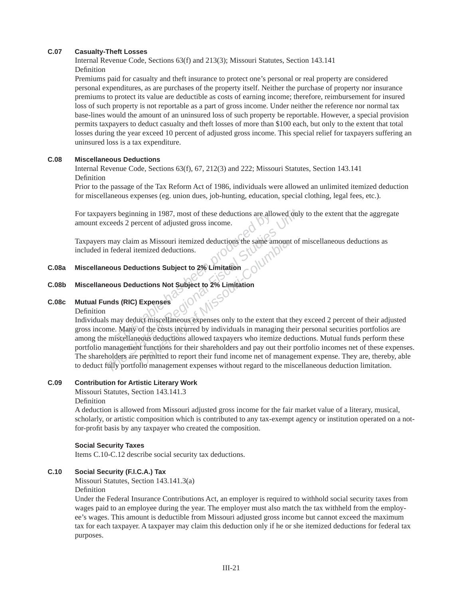#### **C.07 Casualty-Theft Losses**

Internal Revenue Code, Sections 63(f) and 213(3); Missouri Statutes, Section 143.141 Definition

Premiums paid for casualty and theft insurance to protect one's personal or real property are considered personal expenditures, as are purchases of the property itself. Neither the purchase of property nor insurance premiums to protect its value are deductible as costs of earning income; there fore, reimbursement for insured loss of such property is not reportable as a part of gross income. Under neither the reference nor normal tax base-lines would the amount of an uninsured loss of such property be reportable. However, a special provision permits taxpayers to deduct casualty and theft losses of more than \$100 each, but only to the extent that total losses during the year exceed 10 percent of adjusted gross income. This special relief for taxpayers suffering an uninsured loss is a tax expenditure.

#### **C.08 Miscellaneous Deductions**

Internal Revenue Code, Sections 63(f), 67, 212(3) and 222; Missouri Statutes, Section 143.141 Definition

Prior to the passage of the Tax Reform Act of 1986, individuals were allowed an unlimited itemized deduction for miscellaneous expenses (eg. union dues, job-hunting, education, special clothing, legal fees, etc.).

For taxpayers beginning in 1987, most of these deductions are allowed only to the extent that the aggregate amount exceeds 2 percent of adjusted gross income.

Taxpayers may claim as Missouri itemized deductions the same amount of miscellaneous deductions as included in federal itemized deductions.

#### **C.08a Miscellaneous Deductions Subject to 2% Limitation**

# **C.08b Miscellaneous Deductions Not Subject to 2% Limitation**

#### **C.08c Mutual Funds (RIC) Expenses**

Definition

*This isome in 1987*, most of these deductions are alled the same of adjusted gross income.<br>
This table dy claim as Missouri itemized deductions the same and deral itemized deductions.<br> **This Deductions Subject to 2% Limit** *The State Beginning in 1987, most of these deductions are allowed only*<br> *The State & Percent of adjusted gross income.*<br> **The State Additions Interact and itemized deductions.**<br> **The State State State State State State S** Figure 3.1 as Missouri-Itemized deductions the same amount<br>
Period deductions.<br> **UNIVERSITY OF MISSON COLUMBER 22% Limitation**<br> **Expenses**<br>
Period of the costs incurred by individuals in managing the<br>
Period deductions all Individuals may deduct miscellaneous expenses only to the extent that they exceed 2 percent of their adjusted gross income. Many of the costs incurred by individuals in managing their personal securities portfolios are among the miscellaneous deductions allowed taxpayers who itemize deductions. Mutual funds perform these portfolio management functions for their shareholders and pay out their portfolio incomes net of these expenses. The shareholders are permitted to report their fund income net of management expense. They are, thereby, able to deduct fully portfolio management expenses without regard to the miscellaneous deduction limitation.

#### **C.09 Contribution for Artistic Literary Work**

Missouri Statutes, Section 143.141.3

Definition

A deduction is allowed from Missouri adjusted gross income for the fair market value of a literary, musical, scholarly, or artistic composition which is contributed to any tax-exempt agency or institution operated on a notfor-profit basis by any taxpayer who created the composition.

#### **Social Security Taxes**

Items C.10-C.12 describe social security tax deductions.

#### **C.10 Social Security (F.I.C.A.) Tax**

Missouri Statutes, Section 143.141.3(a)

Definition

Under the Federal Insurance Contributions Act, an employer is required to withhold social security taxes from wages paid to an employee during the year. The employer must also match the tax withheld from the employee's wages. This amount is deductible from Missouri adjusted gross income but cannot exceed the maximum tax for each taxpayer. A taxpayer may claim this deduction only if he or she itemized deductions for federal tax purposes.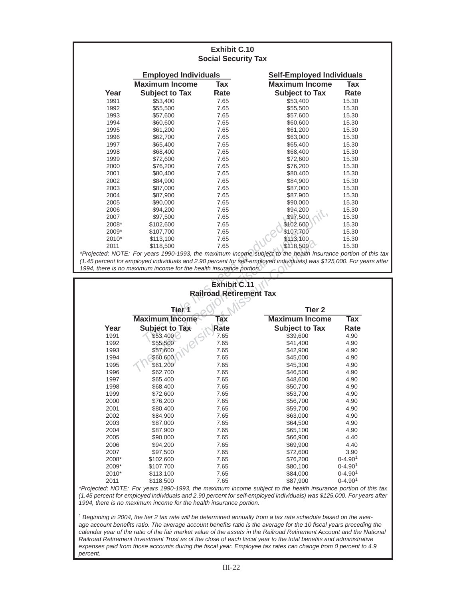| <b>Exhibit C.10</b><br><b>Social Security Tax</b> |                                                                    |                     |                                                                                                                       |                    |  |  |
|---------------------------------------------------|--------------------------------------------------------------------|---------------------|-----------------------------------------------------------------------------------------------------------------------|--------------------|--|--|
|                                                   | <b>Employed Individuals</b>                                        |                     | <b>Self-Employed Individuals</b>                                                                                      |                    |  |  |
|                                                   | <b>Maximum Income</b>                                              | <b>Tax</b>          | <b>Maximum Income</b>                                                                                                 | <b>Tax</b>         |  |  |
| Year                                              | <b>Subject to Tax</b>                                              | Rate                | <b>Subject to Tax</b>                                                                                                 | Rate               |  |  |
| 1991                                              | \$53,400                                                           | 7.65                | \$53,400                                                                                                              | 15.30              |  |  |
| 1992                                              | \$55,500                                                           | 7.65                | \$55,500                                                                                                              | 15.30              |  |  |
| 1993                                              | \$57,600                                                           | 7.65                | \$57,600                                                                                                              | 15.30              |  |  |
| 1994                                              | \$60,600                                                           | 7.65                | \$60,600                                                                                                              | 15.30              |  |  |
| 1995                                              | \$61,200                                                           | 7.65                | \$61,200                                                                                                              | 15.30              |  |  |
| 1996                                              | \$62,700                                                           | 7.65                | \$63,000                                                                                                              | 15.30              |  |  |
| 1997                                              | \$65,400                                                           | 7.65                | \$65,400                                                                                                              | 15.30              |  |  |
| 1998                                              | \$68,400                                                           | 7.65                | \$68,400                                                                                                              | 15.30              |  |  |
| 1999                                              | \$72,600                                                           | 7.65                | \$72,600                                                                                                              | 15.30              |  |  |
| 2000                                              | \$76,200                                                           | 7.65                | \$76,200                                                                                                              | 15.30              |  |  |
| 2001                                              | \$80,400                                                           | 7.65                | \$80,400                                                                                                              | 15.30              |  |  |
| 2002                                              | \$84,900                                                           | 7.65                | \$84,900                                                                                                              | 15.30              |  |  |
| 2003                                              | \$87,000                                                           | 7.65                | \$87,000                                                                                                              | 15.30              |  |  |
| 2004                                              | \$87,900                                                           | 7.65                | \$87,900                                                                                                              | 15.30              |  |  |
| 2005                                              | \$90,000                                                           | 7.65                | \$90,000                                                                                                              | 15.30              |  |  |
| 2006                                              | \$94,200                                                           | 7.65                | \$94,200                                                                                                              | 15.30              |  |  |
| 2007                                              | \$97,500                                                           | 7.65                | \$97,500                                                                                                              | 15.30              |  |  |
| 2008*                                             | \$102,600                                                          | 7.65                | \$102,600                                                                                                             | 15.30              |  |  |
| 2009*                                             | \$107,700                                                          | 7.65                | \$107,700                                                                                                             | 15.30              |  |  |
| 2010*                                             | \$113,100                                                          | 7.65                | \$113,100                                                                                                             | 15.30              |  |  |
| 2011                                              | \$118,500                                                          | 7.65                | \$118,500                                                                                                             | 15.30              |  |  |
|                                                   |                                                                    |                     | *Projected; NOTE: For years 1990-1993, the maximum income subject to the health insurance portion of this tax         |                    |  |  |
|                                                   |                                                                    |                     | (1.45 percent for employed individuals and 2.90 percent for self-employed individuals) was \$125,000. For years after |                    |  |  |
|                                                   | 1994, there is no maximum income for the health insurance portion. |                     |                                                                                                                       |                    |  |  |
|                                                   |                                                                    |                     |                                                                                                                       |                    |  |  |
|                                                   |                                                                    | <b>Exhibit C.11</b> |                                                                                                                       |                    |  |  |
|                                                   |                                                                    |                     | <b>Railroad Retirement Tax</b>                                                                                        |                    |  |  |
|                                                   |                                                                    |                     |                                                                                                                       |                    |  |  |
| Tier <sup>9</sup><br><b>Tier 2</b>                |                                                                    |                     |                                                                                                                       |                    |  |  |
|                                                   | <b>Maximum Income</b>                                              | Tax                 | <b>Maximum Income</b>                                                                                                 | <b>Tax</b>         |  |  |
| Year                                              | <b>Subject to Tax</b>                                              | Rate                | <b>Subject to Tax</b>                                                                                                 | Rate               |  |  |
| 1991                                              | \$53,400                                                           | 7.65                | \$39,600                                                                                                              | 4.90               |  |  |
| 1002                                              | CFEEOM                                                             | 7. C.E              | $0.11$ $0.00$                                                                                                         | $\Lambda$ $\Omega$ |  |  |

# **Exhibit C.11 Railroad Retirement Tax**

| 2006  | \$94,200                                                           | 7.65                | \$94,200                                                                                                        | 15.30                   |
|-------|--------------------------------------------------------------------|---------------------|-----------------------------------------------------------------------------------------------------------------|-------------------------|
| 2007  | \$97,500                                                           | 7.65                | \$97,500                                                                                                        | 15.30                   |
| 2008* | \$102,600                                                          | 7.65                | \$102,600                                                                                                       | 15.30                   |
| 2009* | \$107,700                                                          | 7.65                | \$107,700                                                                                                       | 15.30                   |
| 2010* | \$113,100                                                          | 7.65                | \$113,100                                                                                                       | 15.30                   |
| 2011  | \$118,500                                                          | 7.65                | \$118,500                                                                                                       | 15.30                   |
|       |                                                                    |                     | *Projected; NOTE: For years 1990-1993, the maximum income subject to the health insurance portion of this       |                         |
|       |                                                                    |                     | (1.45 percent for employed individuals and 2.90 percent for self-employed individuals) was \$125,000. For years |                         |
|       | 1994, there is no maximum income for the health insurance portion. |                     |                                                                                                                 |                         |
|       |                                                                    |                     |                                                                                                                 |                         |
|       |                                                                    | <b>Exhibit C.11</b> |                                                                                                                 |                         |
|       |                                                                    |                     | <b>Railroad Retirement Tax</b>                                                                                  |                         |
|       |                                                                    |                     |                                                                                                                 |                         |
|       | Tier\1                                                             | Tier <sub>2</sub>   |                                                                                                                 |                         |
|       | <b>Maximum Income</b>                                              | <b>Tax</b>          | <b>Maximum Income</b>                                                                                           | $\overline{\text{Tax}}$ |
| Year  | <b>Subject to Tax</b>                                              | Rate                | <b>Subject to Tax</b>                                                                                           | Rate                    |
| 1991  | \$53,400                                                           | 7.65                | \$39,600                                                                                                        | 4.90                    |
| 1992  | \$55,500                                                           | 7.65                | \$41,400                                                                                                        | 4.90                    |
| 1993  | \$57,600                                                           | 7.65                | \$42,900                                                                                                        | 4.90                    |
| 1994  | \$60,600                                                           | 7.65                | \$45,000                                                                                                        | 4.90                    |
| 1995  | \$61,200                                                           | 7.65                | \$45,300                                                                                                        | 4.90                    |
| 1996  | \$62,700                                                           | 7.65                | \$46,500                                                                                                        | 4.90                    |
| 1997  | \$65,400                                                           | 7.65                | \$48,600                                                                                                        | 4.90                    |
| 1998  | \$68,400                                                           | 7.65                | \$50,700                                                                                                        | 4.90                    |
| 1999  | \$72,600                                                           | 7.65                | \$53,700                                                                                                        | 4.90                    |
| 2000  | \$76,200                                                           | 7.65                | \$56,700                                                                                                        | 4.90                    |
| 2001  | \$80,400                                                           | 7.65                | \$59,700                                                                                                        | 4.90                    |
| 2002  | \$84,900                                                           | 7.65                | \$63,000                                                                                                        | 4.90                    |
| 2003  | \$87,000                                                           | 7.65                | \$64,500                                                                                                        | 4.90                    |
| 2004  | \$87,900                                                           | 7.65                | \$65,100                                                                                                        | 4.90                    |
| 2005  | \$90,000                                                           | 7.65                | \$66,900                                                                                                        | 4.40                    |
| 2006  | \$94,200                                                           | 7.65                | \$69,900                                                                                                        | 4.40                    |
| 2007  | \$97,500                                                           | 7.65                | \$72,600                                                                                                        | 3.90                    |
| 2008* | \$102,600                                                          | 7.65                | \$76,200                                                                                                        | $0 - 4.901$             |
| 2009* | \$107,700                                                          | 7.65                | \$80,100                                                                                                        | $0 - 4.901$             |
| 2010* | \$113,100                                                          | 7.65                | \$84,000                                                                                                        | $0 - 4.901$             |
| 2011  | \$118.500                                                          | 7.65                | \$87,900                                                                                                        | $0 - 4.901$             |

*\*Projected; NOTE: For years 1990-1993, the maximum income subject to the health insurance portion of this tax (1.45 percent for employed individuals and 2.90 percent for self-employed individuals) was \$125,000. For years after 1994, there is no maximum income for the health insurance portion.* 

<sup>1</sup>*Beginning in 2004, the tier 2 tax rate will be determined annually from a tax rate schedule based on the average account benefi ts ratio. The average account benefi ts ratio is the average for the 10 fi scal years preceding the calendar year of the ratio of the fair market value of the assets in the Railroad Retirement Account and the National Railroad Retirement Investment Trust as of the close of each fi scal year to the total benefi ts and administrative expenses paid from those accounts during the fi scal year. Employee tax rates can change from 0 percent to 4.9 percent.*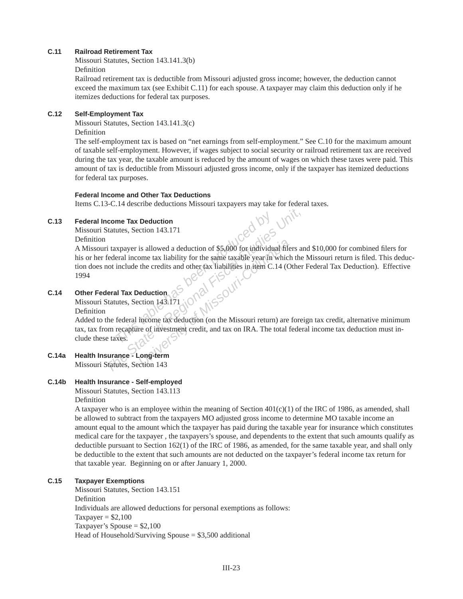#### **C.11 Railroad Retirement Tax**

Missouri Statutes, Section 143.141.3(b) Definition

Railroad retirement tax is deductible from Missouri adjusted gross income; however, the deduction cannot exceed the maximum tax (see Exhibit C.11) for each spouse. A taxpayer may claim this deduction only if he itemizes deductions for federal tax purposes.

#### **C.12 Self-Employment Tax**

Missouri Statutes, Section 143.141.3(c) Definition

The self-employment tax is based on "net earnings from self-employment." See C.10 for the maximum amount of taxable self-employment. However, if wages subject to social security or railroad retirement tax are recei ved during the tax year, the taxable amount is reduced by the amount of wages on which these taxes were paid. This amount of tax is deductible from Missouri adjusted gross income, only if the taxpayer has itemized deductions for federal tax purposes.

#### **Federal Income and Other Tax Deductions**

Items C.13-C.14 describe deductions Missouri taxpayers may take for federal taxes.

#### **C.13 Federal Income Tax Deduction**

Missouri Statutes, Section 143.171

Definition

**The State of The State State And The State State State of State and deduction** of \$5,000 for individual filers are federal income tax liability for the same taxable year in which the not include the credits and other tax A Missouri taxpayer is allowed a deduction of \$5,000 for individual filers and \$10,000 for combined filers for his or her federal income tax liability for the same taxable year in which the Missouri return is filed. This deduction does not include the credits and other tax liabilities in item C.14 (Other Federal Tax Deduction). Effective 1994

# **C.14 Other Federal Tax Deduction**

Missouri Statutes, Section 143.171

Definition

Added to the federal income tax deduction (on the Missouri return) are foreign tax credit, alternative minimum tax, tax from recapture of investment credit, and tax on IRA. The total federal income tax deduction must include these taxes.

**C.14a Health Insurance - Long-term** Missouri Statutes, Section 143

### **C.14b Health Insurance - Self-employed**

Missouri Statutes, Section 143.113 Definition

A taxpayer who is an employee within the meaning of Section  $401(c)(1)$  of the IRC of 1986, as amended, shall be allowed to subtract from the taxpayers MO adjusted gross income to determine MO taxable income an amount equal to the amount which the taxpayer has paid during the taxable year for insurance which constitutes medical care for the taxpayer , the taxpayers's spouse, and dependents to the extent that such amounts qualify as deductible pursuant to Section 162(1) of the IRC of 1986, as amended, for the same taxable year, and shall only be deductible to the extent that such amounts are not deducted on the taxpayer's federal income tax return for that taxable year. Beginning on or after January 1, 2000.

### **C.15 Taxpayer Exemptions**

Missouri Statutes, Section 143.151 Definition Individuals are allowed deductions for personal exemptions as follows: Taxpayer  $= $2,100$  Taxpayer's Spouse = \$2,100 Head of Household/Surviving Spouse  $= $3,500$  additional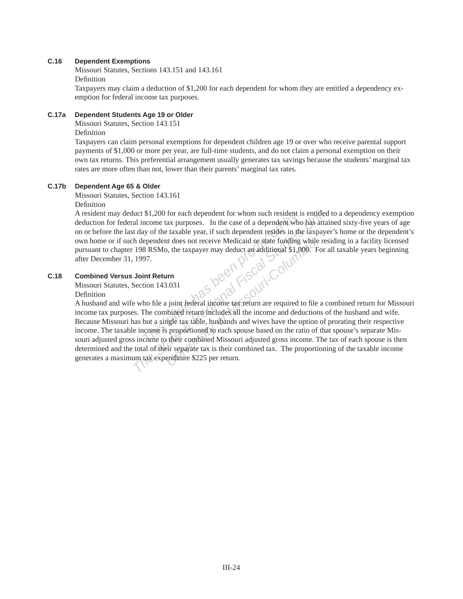#### **C.16 Dependent Exemptions**

Missouri Statutes, Sections 143.151 and 143.161 Definition

Taxpayers may claim a deduction of \$1,200 for each dependent for whom they are entitled a dependency exemption for federal income tax purposes.

#### **C.17a Dependent Students Age 19 or Older**

Missouri Statutes, Section 143.151

Definition

Taxpayers can claim personal exemptions for dependent children age 19 or over who receive parental support payments of \$1,000 or more per year, are full-time students, and do not claim a personal exemption on their own tax returns. This preferential arrangement usually generates tax savings because the students' marginal tax rates are more often than not, lower than their parents' marginal tax rates.

#### **C.17b Dependent Age 65 & Older**

Missouri Statutes, Section 143.161

Definition

A resident may deduct \$1,200 for each dependent for whom such resident is entitled to a dependency exemption deduction for federal income tax purposes. In the case of a dependent who has attained sixty-five years of age on or before the last day of the taxable year, if such dependent resides in the taxpayer's home or the dependent's own home or if such dependent does not receive Medicaid or state funding while residing in a facility licensed pursuant to chapter 198 RSMo, the taxpayer may deduct an additional \$1,000. For all taxable years beginning after December 31, 1997.

#### **C.18 Combined Versus Joint Return**

Missouri Statutes, Section 143.031 Definition

**The State of the State State State of the State of a dependent for whom such resident who has attain thay of the taxable year, if such dependent resides in the taxpayer helpendent does not receive Medicaid or state fundin** A husband and wife who file a joint federal income tax return are required to file a combined return for Missouri income tax purposes. The combined return includes all the income and deductions of the husband and wife. Because Missouri has but a single tax table, husbands and wives have the option of prorating their respective income. The taxable income is proportioned to each spouse based on the ratio of that spouse's separate Missouri adjusted gross income to their combined Missouri adjusted gross income. The tax of each spouse is then determined and the total of their separate tax is their combined tax. The proportioning of the taxable income generates a maximum tax expenditure \$225 per return.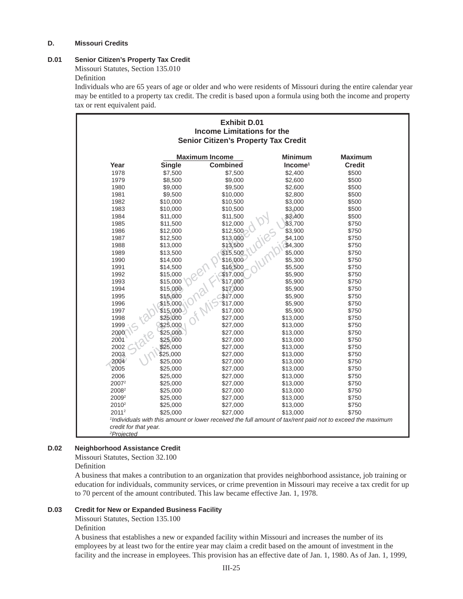#### **D. Missouri Credits**

# **D.01 Senior Citizen's Property Tax Credit**

Missouri Statutes, Section 135.010

#### Definition

Individuals who are 65 years of age or older and who were residents of Missouri during the entire calendar year may be entitled to a property tax credit. The credit is based upon a formula using both the income and property tax or rent equivalent paid.

| <b>Exhibit D.01</b><br><b>Income Limitations for the</b><br><b>Senior Citizen's Property Tax Credit</b> |               |                       |                |                                                                                                            |  |
|---------------------------------------------------------------------------------------------------------|---------------|-----------------------|----------------|------------------------------------------------------------------------------------------------------------|--|
|                                                                                                         |               | <b>Maximum Income</b> | <b>Minimum</b> | <b>Maximum</b>                                                                                             |  |
| Year                                                                                                    | <b>Single</b> | <b>Combined</b>       | $Income1$      | <b>Credit</b>                                                                                              |  |
| 1978                                                                                                    | \$7,500       | \$7,500               | \$2,400        | \$500                                                                                                      |  |
| 1979                                                                                                    | \$8,500       | \$9,000               | \$2,600        | \$500                                                                                                      |  |
| 1980                                                                                                    | \$9,000       | \$9,500               | \$2,600        | \$500                                                                                                      |  |
| 1981                                                                                                    | \$9,500       | \$10,000              | \$2,800        | \$500                                                                                                      |  |
| 1982                                                                                                    | \$10,000      | \$10,500              | \$3,000        | \$500                                                                                                      |  |
| 1983                                                                                                    | \$10,000      | \$10,500              | \$3,000        | \$500                                                                                                      |  |
| 1984                                                                                                    | \$11,000      | \$11,500              | \$3,400        | \$500                                                                                                      |  |
| 1985                                                                                                    | \$11,500      | \$12,000              | \$3,700        | \$750                                                                                                      |  |
| 1986                                                                                                    | \$12,000      | \$12,500              | \$3,900        | \$750                                                                                                      |  |
| 1987                                                                                                    | \$12,500      | \$13,000              | \$4,100        | \$750                                                                                                      |  |
| 1988                                                                                                    | \$13,000      | \$13,500              | \$4,300        | \$750                                                                                                      |  |
| 1989                                                                                                    | \$13,500      | \$15,500              | \$5,000        | \$750                                                                                                      |  |
| 1990                                                                                                    | \$14,000      | \$16,000              | \$5,300        | \$750                                                                                                      |  |
| 1991                                                                                                    | \$14,500      | \$16,500              | \$5,500        | \$750                                                                                                      |  |
| 1992                                                                                                    | \$15,000      | \$17,000              | \$5,900        | \$750                                                                                                      |  |
| 1993                                                                                                    | \$15,000      | \$17,000              | \$5,900        | \$750                                                                                                      |  |
| 1994                                                                                                    | \$15,000      | \$17,000              | \$5,900        | \$750                                                                                                      |  |
| 1995                                                                                                    | \$15,000      | \$17,000              | \$5,900        | \$750                                                                                                      |  |
| 1996                                                                                                    | \$15,000      | \$17,000              | \$5,900        | \$750                                                                                                      |  |
| 1997                                                                                                    | \$15,000      | \$17,000              | \$5,900        | \$750                                                                                                      |  |
| 1998                                                                                                    | \$25,000      | \$27,000              | \$13,000       | \$750                                                                                                      |  |
| 1999                                                                                                    | \$25,000      | \$27,000              | \$13,000       | \$750                                                                                                      |  |
| 2000                                                                                                    | \$25,000      | \$27,000              | \$13,000       | \$750                                                                                                      |  |
| 2001                                                                                                    | \$25,000      | \$27,000              | \$13,000       | \$750                                                                                                      |  |
| 2002                                                                                                    | \$25,000      | \$27,000              | \$13,000       | \$750                                                                                                      |  |
| 2003                                                                                                    | \$25,000      | \$27,000              | \$13,000       | \$750                                                                                                      |  |
| 2004                                                                                                    | \$25,000      | \$27,000              | \$13,000       | \$750                                                                                                      |  |
| 2005                                                                                                    | \$25,000      | \$27,000              | \$13,000       | \$750                                                                                                      |  |
| 2006                                                                                                    | \$25,000      | \$27,000              | \$13,000       | \$750                                                                                                      |  |
| 2007 <sup>2</sup>                                                                                       | \$25,000      | \$27,000              | \$13,000       | \$750                                                                                                      |  |
| 2008 <sup>2</sup>                                                                                       | \$25,000      | \$27,000              | \$13,000       | \$750                                                                                                      |  |
| 2009 <sup>2</sup>                                                                                       | \$25,000      | \$27,000              | \$13,000       | \$750                                                                                                      |  |
| 2010 <sup>2</sup>                                                                                       | \$25,000      | \$27,000              | \$13,000       | \$750                                                                                                      |  |
| $2011^2$                                                                                                | \$25,000      | \$27,000              | \$13,000       | \$750                                                                                                      |  |
|                                                                                                         |               |                       |                | 1Individuals with this amount or lower received the full amount of tax/rent paid not to exceed the maximum |  |
| credit for that year.                                                                                   |               |                       |                |                                                                                                            |  |
| <sup>2</sup> Projected                                                                                  |               |                       |                |                                                                                                            |  |

### **D.02 Neighborhood Assistance Credit**

Missouri Statutes, Section 32.100

# Definition

A business that makes a contribution to an organization that provides neighborhood assistance, job training or education for individuals, community services, or crime prevention in Missouri may receive a tax credit for up to 70 percent of the amount contributed. This law became effective Jan. 1, 1978.

#### **D.03 Credit for New or Expanded Business Facility**

Missouri Statutes, Section 135.100

#### Definition

A business that establishes a new or expanded facility within Missouri and increases the number of its employ ees by at least two for the entire year may claim a credit based on the amount of investment in the facility and the increase in employees. This provision has an effective date of Jan. 1, 1980. As of Jan. 1, 1999,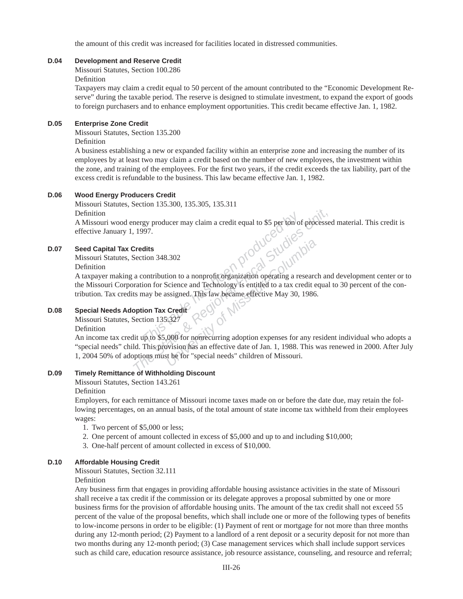the amount of this credit was increased for facilities located in distressed communities.

#### **D.04 Development and Reserve Credit**

Missouri Statutes, Section 100.286

Definition

Taxpayers may claim a credit equal to 50 percent of the amount contributed to the "Economic Development Reserve" during the taxable period. The reserve is designed to stimulate investment, to expand the export of goods to foreign purchasers and to enhance employment opportunities. This credit became effective Jan. 1, 1982.

### **D.05 Enterprise Zone Credit**

Missouri Statutes, Section 135.200

Definition

A business establishing a new or expanded facility within an enterprise zone and increasing the number of its employees by at least two may claim a credit based on the number of new employees, the investment within the zone, and training of the employees. For the first two years, if the credit exceeds the tax liability, part of the excess credit is refundable to the business. This law became effective Jan. 1, 1982.

### **D.06 Wood Energy Producers Credit**

Missouri Statutes, Section 135.300, 135.305, 135.311

Definition

A Missouri wood energy producer may claim a credit equal to \$5 per ton of processed material. This credit is effective January 1, 1997.

### **D.07 Seed Capital Tax Credits**

Missouri Statutes, Section 348.302

Definition

A taxpayer making a contribution to a nonprofit organization operating a research and development center or to the Missouri Corporation for Science and Technology is entitled to a tax credit equal to 30 percent of the contribution. Tax credits may be assigned. This law became effective May 30, 1986.

### **D.08 Special Needs Adoption Tax Credit**

Missouri Statutes, Section 135.327

Definition

**The State of This table has a state of The State of Missouri-Columbia The State State Beeting a streamer and Technology is entitled to a tax credit equal to stay be assigned. This law became effective May 30, 1986.<br>
<b>Phon** An income tax credit up to \$5,000 for nonrecurring adoption expenses for any resident individual who adopts a "special needs" child. This provision has an effective date of Jan. 1, 1988. This was renewed in 2000. After July 1, 2004 50% of adoptions must be for "special needs" children of Missouri.

### **D.09 Timely Remittance of Withholding Discount**

Missouri Statutes, Section 143.261

Definition

Employers, for each remittance of Missouri income taxes made on or before the date due, may retain the following percentages, on an annual basis, of the total amount of state income tax withheld from their employees wages:

- 1. Two percent of \$5,000 or less;
- 2. One percent of amount collected in excess of \$5,000 and up to and including \$10,000;
- 3. One-half percent of amount collected in excess of \$10,000.

### **D.10 Affordable Housing Credit**

Missouri Statutes, Section 32.111

Definition

Any business firm that engages in providing affordable housing assistance activities in the state of Missouri shall receive a tax credit if the commission or its delegate approves a proposal submitted by one or more business firms for the provision of affordable housing units. The amount of the tax credit shall not exceed 55 percent of the value of the proposal benefits, which shall include one or more of the following types of benefits to low-income persons in order to be eligible: (1) Payment of rent or mortgage for not more than three months during any 12-month period; (2) Payment to a landlord of a rent deposit or a security deposit for not more than two months during any 12-month period; (3) Case management services which shall include support services such as child care, education resource assistance, job resource assistance, counseling, and resource and referral;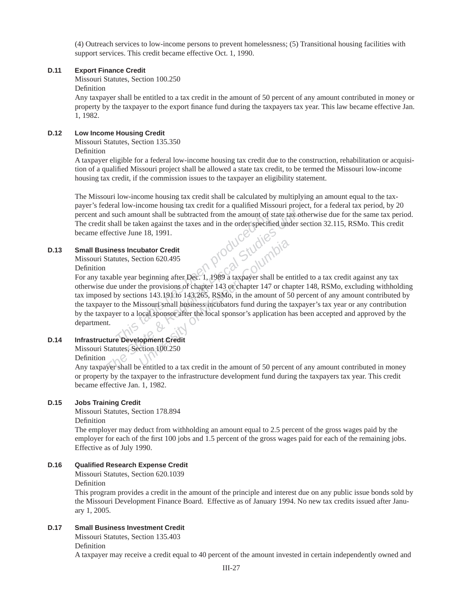(4) Outreach services to low-income persons to prevent homelessness; (5) Transitional housing facilities with support services. This credit became effective Oct. 1, 1990.

#### **D.11 Export Finance Credit**

Missouri Statutes, Section 100.250

Definition

Any taxpayer shall be entitled to a tax credit in the amount of 50 percent of any amount contributed in money or property by the taxpayer to the export finance fund during the taxpayers tax year. This law became effective Jan. 1, 1982.

#### **D.12 Low Income Housing Credit**

Missouri Statutes, Section 135.350

Definition

A taxpayer eligible for a federal low-income housing tax credit due to the construction, rehabilitation or acquisition of a qualified Missouri project shall be allowed a state tax credit, to be termed the Missouri low-income housing tax credit, if the commission issues to the taxpayer an eligibility statement.

The Missouri low-income housing tax credit shall be calculated by multiplying an amount equal to the taxpayer's federal low-income housing tax credit for a qualified Missouri project, for a federal tax period, by 20 percent and such amount shall be subtracted from the amount of state tax otherwise due for the same tax period. The credit shall be taken against the taxes and in the order specified under section 32.115, RSMo. This credit became effective June 18, 1991.

# **D.13 Small Business Incubator Credit**

Missouri Statutes, Section 620.495

# Definition

*This table by excition 620.495*<br> *This table by excition 620.495*<br> *This table by section 620.495*<br> *This table year beginning after Dec.* 1, 1989 a taxpayer shall be entitled<br>
due under the provisions of chapter 143 of c For any taxable year beginning after Dec. 1, 1989 a taxpayer shall be entitled to a tax credit against any tax otherwise due under the provisions of chapter 143 or chapter 147 or chapter 148, RSMo, excluding withholding tax imposed by sections 143.191 to 143.265, RSMo, in the amount of 50 percent of any amount contributed by the taxpayer to the Missouri small business incubators fund during the taxpayer's tax year or any contribution by the taxpayer to a local sponsor after the local sponsor's application has been accepted and approved by the department.

### **D.14 Infrastructure Development Credit**

Missouri Statutes, Section 100.250

Definition

Any taxpayer shall be entitled to a tax credit in the amount of 50 percent of any amount contributed in money or property by the taxpayer to the infrastructure development fund during the taxpayers tax year. This credit became effective Jan. 1, 1982.

#### **D.15 Jobs Training Credit**

Missouri Statutes, Section 178.894

Definition

The employer may deduct from withholding an amount equal to 2.5 percent of the gross wages paid by the employer for each of the first 100 jobs and 1.5 percent of the gross wages paid for each of the remaining jobs. Effective as of July 1990.

#### **D.16** Qualified Research Expense Credit

Missouri Statutes, Section 620.1039

Definition

This program provides a credit in the amount of the principle and interest due on any public issue bonds sold by the Missouri Development Finance Board. Effective as of January 1994. No new tax credits issued after January 1, 2005.

#### **D.17 Small Business Investment Credit**

Missouri Statutes, Section 135.403 Definition

A taxpayer may receive a credit equal to 40 percent of the amount invested in certain independently owned and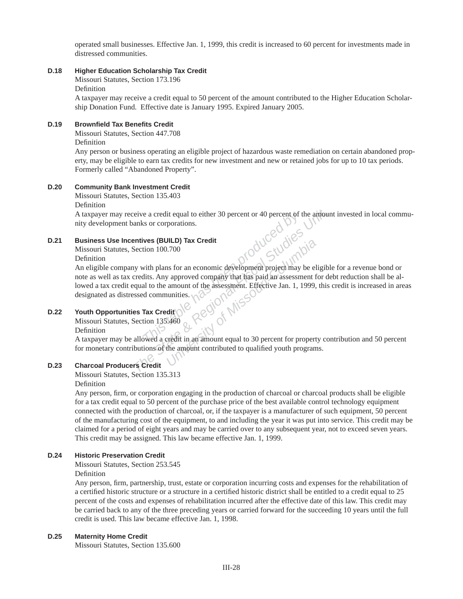operated small businesses. Effective Jan. 1, 1999, this credit is increased to 60 percent for investments made in distressed communities.

#### **D.18 Higher Education Scholarship Tax Credit**

Missouri Statutes, Section 173.196

#### Definition

A taxpayer may receive a credit equal to 50 percent of the amount contributed to the Higher Education Scholarship Donation Fund. Effective date is January 1995. Expired January 2005.

#### **D.19 Brownfi eld Tax Benefi ts Credit**

Missouri Statutes, Section 447.708

Definition

Any person or business operating an eligible project of hazardous waste remediation on certain abandoned property, may be eligible to earn tax credits for new investment and new or retained jobs for up to 10 tax periods. Formerly called "Abandoned Property".

#### **D.20 Community Bank Investment Credit**

Missouri Statutes, Section 135.403

Definition

A taxpayer may receive a credit equal to either 30 percent or 40 percent of the amount invested in local community development banks or corporations.

#### **D.21 Business Use Incentives (BUILD) Tax Credit**

Missouri Statutes, Section 100.700

Definition

**Example 19 and 19 and 19 and 19 and 19 and 19 and 19 and 19 and 19 and 100.700**<br> **The CHA CONDITE CONDIT CONDITER CONDUCED BY**<br>
With plans for an economic development project may<br>
dits. Any approved company that has paid Exercise a credit equal to either 30 percent or 40 percent of the amount<br>anks or corporations.<br> **The State State State State State State State State State State State State State State State State State State State State S UNIVERSITY OF THE COLUMBER 1999**<br>
In University of Missouri-Columbia State of Missouri-Columbia<br>
In a mount of the assessment. Effective Jan. 1, 1999,<br>
unities.<br> **COLUMBER 1999,**<br>
and the assessment. Effective Jan. 1, 199 An eligible company with plans for an economic development project may be eligible for a revenue bond or note as well as tax credits. Any approved company that has paid an assessment for debt reduction shall be allowed a tax credit equal to the amount of the assessment. Effective Jan. 1, 1999, this credit is increased in areas designated as distressed communities.  $\sqrt{ }$ 

# **D.22 Youth Opportunities Tax Credit**

Missouri Statutes, Section 135.460

Definition

A taxpayer may be allowed a credit in an amount equal to 30 percent for property contribution and 50 percent for monetary contributions of the amount contributed to qualified youth programs.

### **D.23 Charcoal Producers Credit**

Missouri Statutes, Section 135.313

Definition

Any person, firm, or corporation engaging in the production of charcoal or charcoal products shall be eligible for a tax credit equal to 50 percent of the purchase price of the best available control technology equipment connected with the production of charcoal, or, if the taxpayer is a manufacturer of such equipment, 50 percent of the manufacturing cost of the equipment, to and including the year it was put into service. This credit may be claimed for a period of eight years and may be carried over to any subsequent year, not to exceed seven years. This credit may be assigned. This law became effective Jan. 1, 1999.

### **D.24 Historic Preservation Credit**

Missouri Statutes, Section 253.545

Definition

Any person, firm, partnership, trust, estate or corporation incurring costs and expenses for the rehabilitation of a certified historic structure or a structure in a certified historic district shall be entitled to a credit equal to 25 percent of the costs and expenses of rehabilitation incurred after the effective date of this law. This credit may be carried back to any of the three preceding years or carried forward for the succeeding 10 years until the full credit is used. This law became effective Jan. 1, 1998.

### **D.25 Maternity Home Credit**

Missouri Statutes, Section 135.600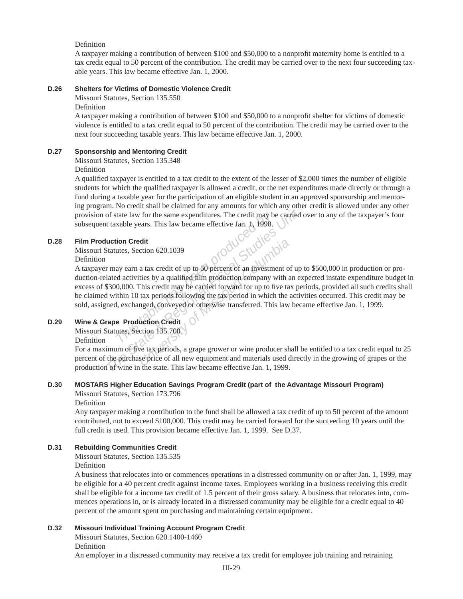#### Definition

A taxpayer making a contribution of between \$100 and \$50,000 to a nonprofit maternity home is entitled to a tax credit equal to 50 percent of the contribution. The credit may be carried over to the next four succeeding taxable years. This law became effective Jan. 1, 2000.

### **D.26 Shelters for Victims of Domestic Violence Credit**

Missouri Statutes, Section 135.550

Definition

A taxpayer making a contribution of between \$100 and \$50,000 to a nonprofit shelter for victims of domestic violence is entitled to a tax credit equal to 50 percent of the contribution. The credit may be carried over to the next four succeeding taxable years. This law became effective Jan. 1, 2000.

#### **D.27 Sponsorship and Mentoring Credit**

Missouri Statutes, Section 135.348

Definition

A qualified taxpayer is entitled to a tax credit to the extent of the lesser of \$2,000 times the number of eligible students for which the qualified taxpayer is allowed a credit, or the net expenditures made directly or through a fund during a taxable year for the participation of an eligible student in an approved sponsorship and mentoring program. No credit shall be claimed for any amounts for which any other credit is allowed under any other provision of state law for the same expenditures. The credit may be carried over to any of the taxpayer's four subsequent taxable years. This law became effective Jan. 1, 1998.

Missouri Statutes, Section 620.1039

#### Definition

**The State Association Credit**<br> **The State has became effective Jan. 1, 1998.**<br> **D.28** Film Production Credit<br>
Missouri-Columbia Definition<br>
A taxpayer may earn a tax credit of up to 50 percent of an investment of up<br>
duct A taxpayer may earn a tax credit of up to 50 percent of an investment of up to \$500,000 in production or pro duction-related activities by a qualified film production company with an expected instate expenditure budget in excess of \$300,000. This credit may be carried forward for up to five tax periods, provided all such credits shall be claimed within 10 tax periods following the tax period in which the activities occurred. This credit may be sold, assigned, exchanged, conveyed or otherwise transferred. This law became effective Jan. 1, 1999.

# **D.29 Wine & Grape Production Credit**

Missouri Statutes, Section 135.700

Definition

For a maximum of five tax periods, a grape grower or wine producer shall be entitled to a tax credit equal to 25 percent of the purchase price of all new equipment and materials used directly in the growing of grapes or the production of wine in the state. This law became effective Jan. 1, 1999.

### **D.30 MOSTARS Higher Education Savings Program Credit (part of the Advantage Missouri Program)**

Missouri Statutes, Section 173.796

#### Definition

Any taxpayer making a contribution to the fund shall be allowed a tax credit of up to 50 percent of the amount contributed, not to exceed \$100,000. This credit may be carried forward for the succeeding 10 years until the full credit is used. This provision became effective Jan. 1, 1999. See D.37.

#### **D.31 Rebuilding Communities Credit**

Missouri Statutes, Section 135.535

Definition

A business that relocates into or commences operations in a distressed community on or after Jan. 1, 1999, may be eligible for a 40 percent credit against income taxes. Employees working in a business receiving this credit shall be eligible for a income tax credit of 1.5 percent of their gross salary. A business that relocates into, commences operations in, or is already located in a distressed community may be eligible for a credit equal to 40 percent of the amount spent on purchasing and maintaining certain equipment.

#### **D.32 Missouri Individual Training Account Program Credit**

Missouri Statutes, Section 620.1400-1460

Definition

An employer in a distressed community may receive a tax credit for employee job training and retraining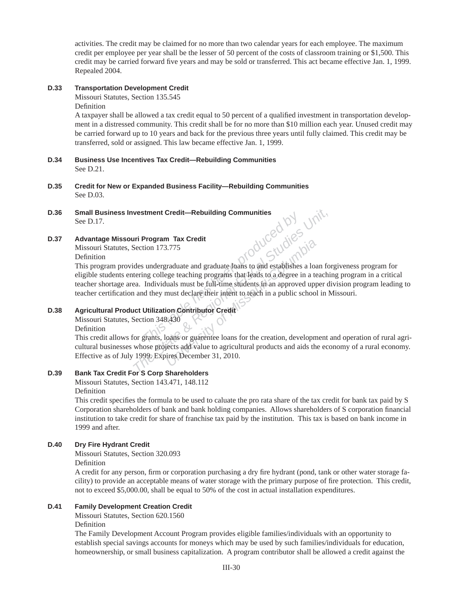activities. The credit may be claimed for no more than two calendar years for each employee. The maximum credit per employee per year shall be the lesser of 50 percent of the costs of classroom training or \$1,500. This credit may be carried forward five years and may be sold or transferred. This act became effective Jan. 1, 1999. Repealed 2004.

# **D.33 Transportation Development Credit**

Missouri Statutes, Section 135.545

Definition

A taxpayer shall be allowed a tax credit equal to 50 percent of a qualified investment in transportation development in a distressed community. This credit shall be for no more than \$10 million each year. Unused credit may be carried forward up to 10 years and back for the previous three years until fully claimed. This credit may be trans ferred, sold or assigned. This law became effective Jan. 1, 1999.

- **D.34 Business Use Incentives Tax Credit—Rebuilding Communities** See D.21.
- **D.35 Credit for New or Expanded Business Facility—Rebuilding Communities** See D.03.
- **D.36 Small Business Investment Credit—Rebuilding Communities** See D.17.

# **D.37 Advantage Missouri Program Tax Credit**

Missouri Statutes, Section 173.775

Definition

**The State of The State Action 173.775**<br> **The State State State State State State State State State State State State State State State State State State State Action 2013<br>
The State State State State State State State Sta** This program provides undergraduate and graduate loans to and establishes a loan forgiveness program for eligible students entering college teaching programs that leads to a degree in a teaching program in a critical teacher shortage area. Individuals must be full-time students in an approved upper division program leading to teacher certification and they must declare their intent to teach in a public school in Missouri.

# **D.38 Agricultural Product Utilization Contributor Credit**

Missouri Statutes, Section 348.430

Definition

This credit allows for grants, loans or guarentee loans for the creation, development and operation of rural agricultural businesses whose projects add value to agricultural products and aids the economy of a rural economy. Effective as of July 1999. Expires December 31, 2010.

# **D.39 Bank Tax Credit For S Corp Shareholders**

Missouri Statutes, Section 143.471, 148.112 Definition

This credit specifies the formula to be used to caluate the pro rata share of the tax credit for bank tax paid by S Corporation shareholders of bank and bank holding companies. Allows shareholders of S corporation financial institution to take credit for share of franchise tax paid by the institution. This tax is based on bank income in 1999 and after.

# **D.40 Dry Fire Hydrant Credit**

Missouri Statutes, Section 320.093

Definition

A credit for any person, firm or corporation purchasing a dry fire hydrant (pond, tank or other water storage facility) to provide an acceptable means of water storage with the primary purpose of fire protection. This credit, not to exceed \$5,000.00, shall be equal to 50% of the cost in actual installation expenditures.

### **D.41 Family Development Creation Credit**

Missouri Statutes, Section 620.1560

Definition

The Family Development Account Program provides eligible families/individuals with an opportunity to establish special savings accounts for moneys which may be used by such families/individuals for education, homeownership, or small business capitalization. A program contributor shall be allowed a credit against the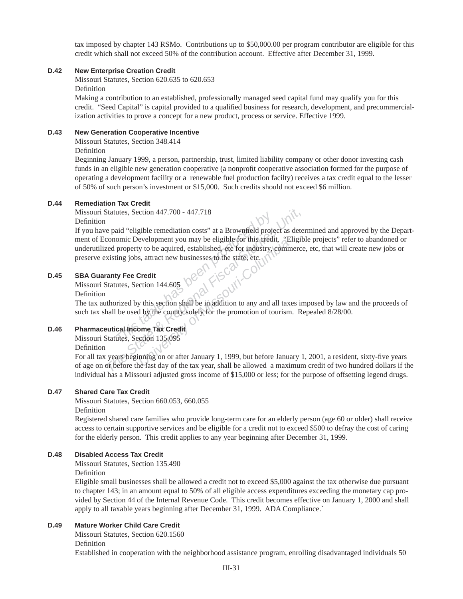tax imposed by chapter 143 RSMo. Contributions up to \$50,000.00 per program contributor are eligible for this credit which shall not exceed 50% of the contribution account. Effective after December 31, 1999.

#### **D.42 New Enterprise Creation Credit**

Missouri Statutes, Section 620.635 to 620.653

Definition

Making a contribution to an established, professionally managed seed capital fund may qualify you for this credit. "Seed Capital" is capital provided to a qualified business for research, development, and precommercialization activities to prove a concept for a new product, process or service. Effective 1999.

#### **D.43 New Generation Cooperative Incentive**

Missouri Statutes, Section 348.414

Definition

Beginning January 1999, a person, partnership, trust, limited liability company or other donor investing cash funds in an eligible new generation cooperative (a nonprofit cooperative association formed for the purpose of operating a development facility or a renewable fuel production facilty) receives a tax credit equal to the lesser of 50% of such person's investment or \$15,000. Such credits should not exceed \$6 million.

### **D.44 Remediation Tax Credit**

Missouri Statutes, Section 447.700 - 447.718

Definition

This aid "eligible remediation costs" at a Brownfield projection<br>aid "eligible remediation costs" at a Brownfield projection<br>property to be aquired, established, etc for industry,<br>ting jobs, attract new businesses to the s *The Statutes, Section 447.700 - 447.718*<br> **The paid "eligible remediation costs" at a Brownfield project as determonic Development you may be eligible for this credit, "Eligible feed property to be aquired, established, e** Exercise of Missouri-Columbia<br> *University to be aquired, established, etc for industry, comm*<br> *Solution 144.605*<br> **Columbia**<br> *University of the Missouri-Columbia*<br> *University of the county solely for the promotion of t* If you have paid "eligible remediation costs" at a Brownfield project as determined and approved by the Department of Economic Development you may be eligible for this credit. "Eligible projects" refer to aban doned or underutilized property to be aquired, established, etc for industry, commerce, etc, that will create new jobs or preserve existing jobs, attract new businesses to the state, etc.

#### **D.45 SBA Guaranty Fee Credit**

 Missouri Statutes, Section 144.605 Definition

The tax authorized by this section shall be in addition to any and all taxes imposed by law and the proceeds of such tax shall be used by the county solely for the promotion of tourism. Repealed 8/28/00.

### **D.46 Pharmaceutical Income Tax Credit**

Missouri Statutes, Section 135.095

Definition

For all tax years beginning on or after January 1, 1999, but before January 1, 2001, a resident, sixty-five years of age on or before the last day of the tax year, shall be allowed a maximum credit of two hundred dollars if the individual has a Missouri adjusted gross income of \$15,000 or less; for the purpose of offsetting legend drugs.

### **D.47 Shared Care Tax Credit**

Missouri Statutes, Section 660.053, 660.055

Definition

Registered shared care families who provide long-term care for an elderly person (age 60 or older) shall receive access to certain supportive services and be eligible for a credit not to exceed \$500 to defray the cost of caring for the elderly person. This credit applies to any year beginning after December 31, 1999.

### **D.48 Disabled Access Tax Credit**

Missouri Statutes, Section 135.490

Definition

Eligible small businesses shall be allowed a credit not to exceed \$5,000 against the tax otherwise due pursuant to chapter 143; in an amount equal to 50% of all eligible access expenditures exceeding the monetary cap provided by Section 44 of the Internal Revenue Code. This credit becomes effective on January 1, 2000 and shall apply to all taxable years beginning after December 31, 1999. ADA Compliance.`

### **D.49 Mature Worker Child Care Credit**

 Missouri Statutes, Section 620.1560 Definition

Established in cooperation with the neighborhood assistance program, enrolling disadvantaged individuals 50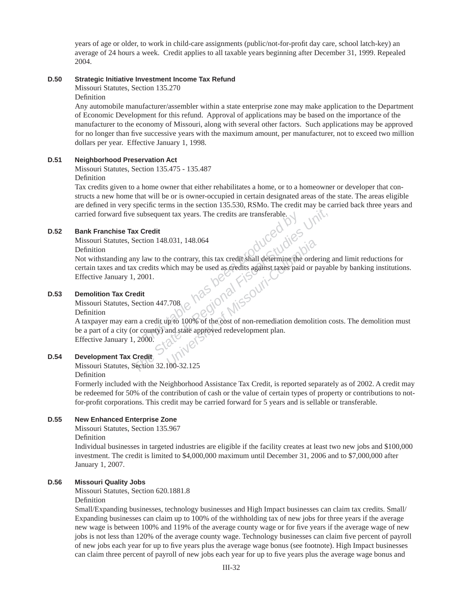years of age or older, to work in child-care assignments (public/not-for-profi t day care, school latch-key) an average of 24 hours a week. Credit applies to all taxable years beginning after December 31, 1999. Repealed 2004.

# **D.50 Strategic Initiative Investment Income Tax Refund**

Missouri Statutes, Section 135.270

Definition

Any automobile manufacturer/assembler within a state enterprise zone may make application to the Department of Economic Development for this refund. Approval of applications may be based on the importance of the manufacturer to the economy of Missouri, along with several other factors. Such applications may be approved for no longer than five successive years with the maximum amount, per manufacturer, not to exceed two million dollars per year. Effective January 1, 1998.

#### **D.51 Neighborhood Preservation Act**

Missouri Statutes, Section 135.475 - 135.487

#### Definition

Tax credits given to a home owner that either rehabilitates a home, or to a homeowner or developer that constructs a new home that will be or is owner-occupied in certain designated areas of the state. The areas eligible are defined in very specific terms in the section 135.530, RSMo. The credit may be carried back three years and carried forward five subsequent tax years. The credits are transferable.

#### **D.52 Bank Franchise Tax Credit**

Missouri Statutes, Section 148.031, 148.064

Definition

**Example 19** and the Contrary, this tax credit section 148.031, 148.064<br> **The Section 148.031, 148.064**<br> **The State By Alternative By Alternative By Alternative By Alternative State State & Regional State and Contrary, thi University of Missouri-Columbia**<br>
Unas long Kissouri-Columbia<br>
People Missouri-Not withstanding any law to the contrary, this tax credit shall determine the ordering and limit reductions for certain taxes and tax credits which may be used as credits against taxes paid or payable by banking institutions. Effective January 1, 2001.

#### **D.53 Demolition Tax Credit**

Missouri Statutes, Section 447.708

Definition

A taxpayer may earn a credit up to 100% of the cost of non-remediation demolition costs. The demolition must be a part of a city (or county) and state approved redevelopment plan. Effective January 1, 2000.

# **D.54 Development Tax Credit**

Missouri Statutes, Section 32.100-32.125

Definition

Formerly included with the Neighborhood Assistance Tax Credit, is reported separately as of 2002. A credit may be redeemed for 50% of the contribution of cash or the value of certain types of property or contributions to notfor-profit corporations. This credit may be carried forward for 5 years and is sellable or transferable.

#### **D.55 New Enhanced Enterprise Zone**

Missouri Statutes, Section 135.967

Definition

Individual businesses in targeted industries are eligible if the facility creates at least two new jobs and \$100,000 investment. The credit is limited to \$4,000,000 maximum until December 31, 2006 and to \$7,000,000 after January 1, 2007.

### **D.56 Missouri Quality Jobs**

Missouri Statutes, Section 620.1881.8

Definition

Small/Expanding businesses, technology businesses and High Impact businesses can claim tax credits. Small/ Expanding businesses can claim up to 100% of the withholding tax of new jobs for three years if the average new wage is between 100% and 119% of the average county wage or for five years if the average wage of new jobs is not less than 120% of the average county wage. Technology businesses can claim five percent of payroll of new jobs each year for up to five years plus the average wage bonus (see footnote). High Impact businesses can claim three percent of payroll of new jobs each year for up to five years plus the average wage bonus and